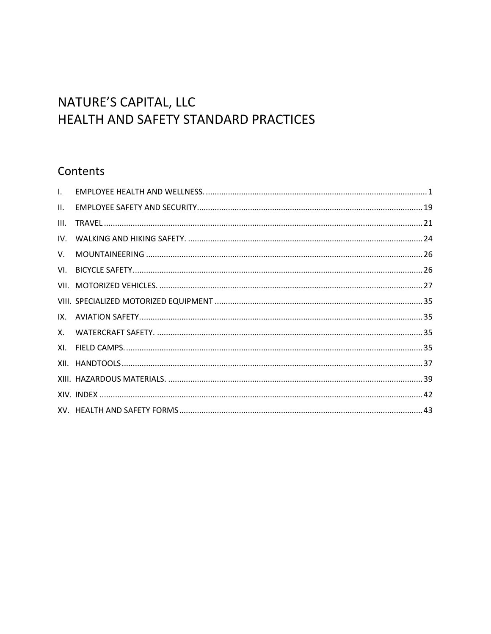# NATURE'S CAPITAL, LLC HEALTH AND SAFETY STANDARD PRACTICES

## Contents

| $\mathbf{L}$ |  |
|--------------|--|
| II.          |  |
| III.         |  |
| IV.          |  |
| V.           |  |
|              |  |
|              |  |
|              |  |
|              |  |
|              |  |
|              |  |
|              |  |
|              |  |
|              |  |
|              |  |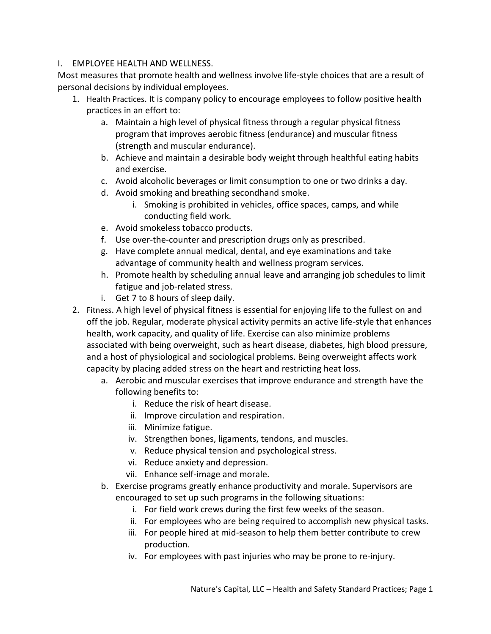#### <span id="page-1-0"></span>I. EMPLOYEE HEALTH AND WELLNESS.

Most measures that promote health and wellness involve life-style choices that are a result of personal decisions by individual employees.

- 1. Health Practices. It is company policy to encourage employees to follow positive health practices in an effort to:
	- a. Maintain a high level of physical fitness through a regular physical fitness program that improves aerobic fitness (endurance) and muscular fitness (strength and muscular endurance).
	- b. Achieve and maintain a desirable body weight through healthful eating habits and exercise.
	- c. Avoid alcoholic beverages or limit consumption to one or two drinks a day.
	- d. Avoid smoking and breathing secondhand smoke.
		- i. Smoking is prohibited in vehicles, office spaces, camps, and while conducting field work.
	- e. Avoid smokeless tobacco products.
	- f. Use over-the-counter and prescription drugs only as prescribed.
	- g. Have complete annual medical, dental, and eye examinations and take advantage of community health and wellness program services.
	- h. Promote health by scheduling annual leave and arranging job schedules to limit fatigue and job-related stress.
	- i. Get 7 to 8 hours of sleep daily.
- 2. Fitness. A high level of physical fitness is essential for enjoying life to the fullest on and off the job. Regular, moderate physical activity permits an active life-style that enhances health, work capacity, and quality of life. Exercise can also minimize problems associated with being overweight, such as heart disease, diabetes, high blood pressure, and a host of physiological and sociological problems. Being overweight affects work capacity by placing added stress on the heart and restricting heat loss.
	- a. Aerobic and muscular exercises that improve endurance and strength have the following benefits to:
		- i. Reduce the risk of heart disease.
		- ii. Improve circulation and respiration.
		- iii. Minimize fatigue.
		- iv. Strengthen bones, ligaments, tendons, and muscles.
		- v. Reduce physical tension and psychological stress.
		- vi. Reduce anxiety and depression.
		- vii. Enhance self-image and morale.
	- b. Exercise programs greatly enhance productivity and morale. Supervisors are encouraged to set up such programs in the following situations:
		- i. For field work crews during the first few weeks of the season.
		- ii. For employees who are being required to accomplish new physical tasks.
		- iii. For people hired at mid-season to help them better contribute to crew production.
		- iv. For employees with past injuries who may be prone to re-injury.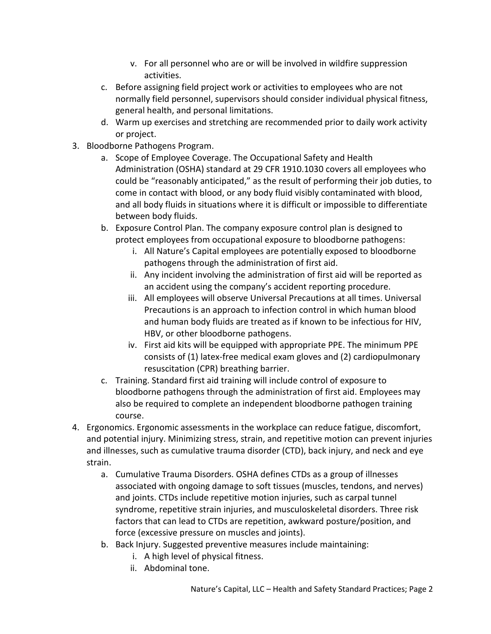- v. For all personnel who are or will be involved in wildfire suppression activities.
- c. Before assigning field project work or activities to employees who are not normally field personnel, supervisors should consider individual physical fitness, general health, and personal limitations.
- d. Warm up exercises and stretching are recommended prior to daily work activity or project.
- 3. Bloodborne Pathogens Program.
	- a. Scope of Employee Coverage. The Occupational Safety and Health Administration (OSHA) standard at 29 CFR 1910.1030 covers all employees who could be "reasonably anticipated," as the result of performing their job duties, to come in contact with blood, or any body fluid visibly contaminated with blood, and all body fluids in situations where it is difficult or impossible to differentiate between body fluids.
	- b. Exposure Control Plan. The company exposure control plan is designed to protect employees from occupational exposure to bloodborne pathogens:
		- i. All Nature's Capital employees are potentially exposed to bloodborne pathogens through the administration of first aid.
		- ii. Any incident involving the administration of first aid will be reported as an accident using the company's accident reporting procedure.
		- iii. All employees will observe Universal Precautions at all times. Universal Precautions is an approach to infection control in which human blood and human body fluids are treated as if known to be infectious for HIV, HBV, or other bloodborne pathogens.
		- iv. First aid kits will be equipped with appropriate PPE. The minimum PPE consists of (1) latex-free medical exam gloves and (2) cardiopulmonary resuscitation (CPR) breathing barrier.
	- c. Training. Standard first aid training will include control of exposure to bloodborne pathogens through the administration of first aid. Employees may also be required to complete an independent bloodborne pathogen training course.
- 4. Ergonomics. Ergonomic assessments in the workplace can reduce fatigue, discomfort, and potential injury. Minimizing stress, strain, and repetitive motion can prevent injuries and illnesses, such as cumulative trauma disorder (CTD), back injury, and neck and eye strain.
	- a. Cumulative Trauma Disorders. OSHA defines CTDs as a group of illnesses associated with ongoing damage to soft tissues (muscles, tendons, and nerves) and joints. CTDs include repetitive motion injuries, such as carpal tunnel syndrome, repetitive strain injuries, and musculoskeletal disorders. Three risk factors that can lead to CTDs are repetition, awkward posture/position, and force (excessive pressure on muscles and joints).
	- b. Back Injury. Suggested preventive measures include maintaining:
		- i. A high level of physical fitness.
		- ii. Abdominal tone.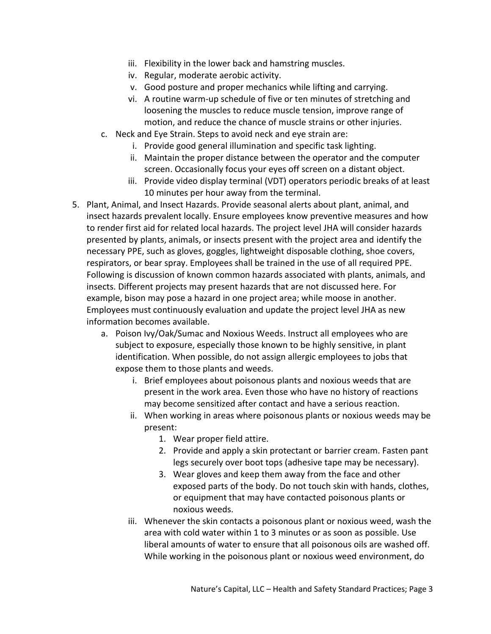- iii. Flexibility in the lower back and hamstring muscles.
- iv. Regular, moderate aerobic activity.
- v. Good posture and proper mechanics while lifting and carrying.
- vi. A routine warm-up schedule of five or ten minutes of stretching and loosening the muscles to reduce muscle tension, improve range of motion, and reduce the chance of muscle strains or other injuries.
- c. Neck and Eye Strain. Steps to avoid neck and eye strain are:
	- i. Provide good general illumination and specific task lighting.
	- ii. Maintain the proper distance between the operator and the computer screen. Occasionally focus your eyes off screen on a distant object.
	- iii. Provide video display terminal (VDT) operators periodic breaks of at least 10 minutes per hour away from the terminal.
- 5. Plant, Animal, and Insect Hazards. Provide seasonal alerts about plant, animal, and insect hazards prevalent locally. Ensure employees know preventive measures and how to render first aid for related local hazards. The project level JHA will consider hazards presented by plants, animals, or insects present with the project area and identify the necessary PPE, such as gloves, goggles, lightweight disposable clothing, shoe covers, respirators, or bear spray. Employees shall be trained in the use of all required PPE. Following is discussion of known common hazards associated with plants, animals, and insects. Different projects may present hazards that are not discussed here. For example, bison may pose a hazard in one project area; while moose in another. Employees must continuously evaluation and update the project level JHA as new information becomes available.
	- a. Poison Ivy/Oak/Sumac and Noxious Weeds. Instruct all employees who are subject to exposure, especially those known to be highly sensitive, in plant identification. When possible, do not assign allergic employees to jobs that expose them to those plants and weeds.
		- i. Brief employees about poisonous plants and noxious weeds that are present in the work area. Even those who have no history of reactions may become sensitized after contact and have a serious reaction.
		- ii. When working in areas where poisonous plants or noxious weeds may be present:
			- 1. Wear proper field attire.
			- 2. Provide and apply a skin protectant or barrier cream. Fasten pant legs securely over boot tops (adhesive tape may be necessary).
			- 3. Wear gloves and keep them away from the face and other exposed parts of the body. Do not touch skin with hands, clothes, or equipment that may have contacted poisonous plants or noxious weeds.
		- iii. Whenever the skin contacts a poisonous plant or noxious weed, wash the area with cold water within 1 to 3 minutes or as soon as possible. Use liberal amounts of water to ensure that all poisonous oils are washed off. While working in the poisonous plant or noxious weed environment, do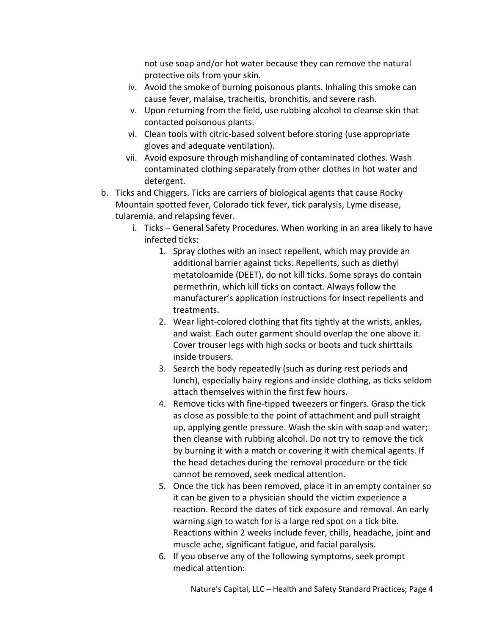not use soap and/or hot water because they can remove the natural protective oils from your skin.

- iv. Avoid the smoke of burning poisonous plants. Inhaling this smoke can cause fever, malaise, tracheitis, bronchitis, and severe rash.
- v. Upon returning from the field, use rubbing alcohol to cleanse skin that contacted poisonous plants.
- vi. Clean tools with citric-based solvent before storing (use appropriate gloves and adequate ventilation).
- vii. Avoid exposure through mishandling of contaminated clothes. Wash contaminated clothing separately from other clothes in hot water and detergent.
- b. Ticks and Chiggers. Ticks are carriers of biological agents that cause Rocky Mountain spotted fever, Colorado tick fever, tick paralysis, Lyme disease, tularemia, and relapsing fever.
	- i. Ticks General Safety Procedures. When working in an area likely to have infected ticks:
		- 1. Spray clothes with an insect repellent, which may provide an additional barrier against ticks. Repellents, such as diethyl metatoloamide (DEET), do not kill ticks. Some sprays do contain permethrin, which kill ticks on contact. Always follow the manufacturer's application instructions for insect repellents and treatments.
		- 2. Wear light-colored clothing that fits tightly at the wrists, ankles, and waist. Each outer garment should overlap the one above it. Cover trouser legs with high socks or boots and tuck shirttails inside trousers.
		- 3. Search the body repeatedly (such as during rest periods and lunch), especially hairy regions and inside clothing, as ticks seldom attach themselves within the first few hours.
		- 4. Remove ticks with fine-tipped tweezers or fingers. Grasp the tick as close as possible to the point of attachment and pull straight up, applying gentle pressure. Wash the skin with soap and water; then cleanse with rubbing alcohol. Do not try to remove the tick by burning it with a match or covering it with chemical agents. If the head detaches during the removal procedure or the tick cannot be removed, seek medical attention.
		- 5. Once the tick has been removed, place it in an empty container so it can be given to a physician should the victim experience a reaction. Record the dates of tick exposure and removal. An early warning sign to watch for is a large red spot on a tick bite. Reactions within 2 weeks include fever, chills, headache, joint and muscle ache, significant fatigue, and facial paralysis.
		- 6. If you observe any of the following symptoms, seek prompt medical attention: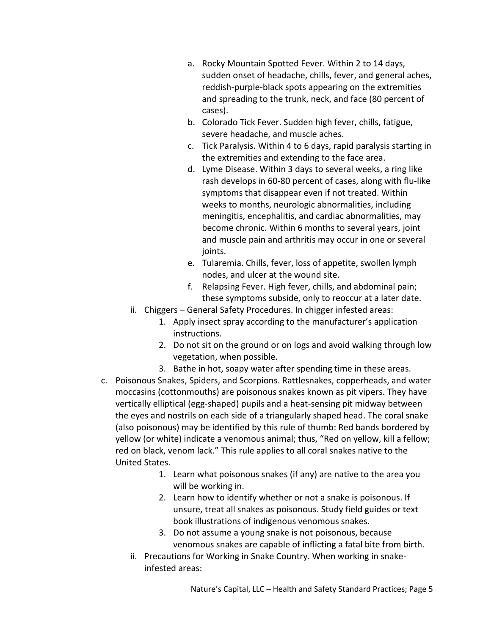- a. Rocky Mountain Spotted Fever. Within 2 to 14 days, sudden onset of headache, chills, fever, and general aches, reddish-purple-black spots appearing on the extremities and spreading to the trunk, neck, and face (80 percent of cases).
- b. Colorado Tick Fever. Sudden high fever, chills, fatigue, severe headache, and muscle aches.
- c. Tick Paralysis. Within 4 to 6 days, rapid paralysis starting in the extremities and extending to the face area.
- d. Lyme Disease. Within 3 days to several weeks, a ring like rash develops in 60-80 percent of cases, along with flu-like symptoms that disappear even if not treated. Within weeks to months, neurologic abnormalities, including meningitis, encephalitis, and cardiac abnormalities, may become chronic. Within 6 months to several years, joint and muscle pain and arthritis may occur in one or several joints.
- e. Tularemia. Chills, fever, loss of appetite, swollen lymph nodes, and ulcer at the wound site.
- f. Relapsing Fever. High fever, chills, and abdominal pain; these symptoms subside, only to reoccur at a later date.
- ii. Chiggers General Safety Procedures. In chigger infested areas:
	- 1. Apply insect spray according to the manufacturer's application instructions.
	- 2. Do not sit on the ground or on logs and avoid walking through low vegetation, when possible.
	- 3. Bathe in hot, soapy water after spending time in these areas.
- c. Poisonous Snakes, Spiders, and Scorpions. Rattlesnakes, copperheads, and water moccasins (cottonmouths) are poisonous snakes known as pit vipers. They have vertically elliptical (egg-shaped) pupils and a heat-sensing pit midway between the eyes and nostrils on each side of a triangularly shaped head. The coral snake (also poisonous) may be identified by this rule of thumb: Red bands bordered by yellow (or white) indicate a venomous animal; thus, "Red on yellow, kill a fellow; red on black, venom lack." This rule applies to all coral snakes native to the United States.
	- 1. Learn what poisonous snakes (if any) are native to the area you will be working in.
	- 2. Learn how to identify whether or not a snake is poisonous. If unsure, treat all snakes as poisonous. Study field guides or text book illustrations of indigenous venomous snakes.
	- 3. Do not assume a young snake is not poisonous, because venomous snakes are capable of inflicting a fatal bite from birth.
	- ii. Precautions for Working in Snake Country. When working in snakeinfested areas: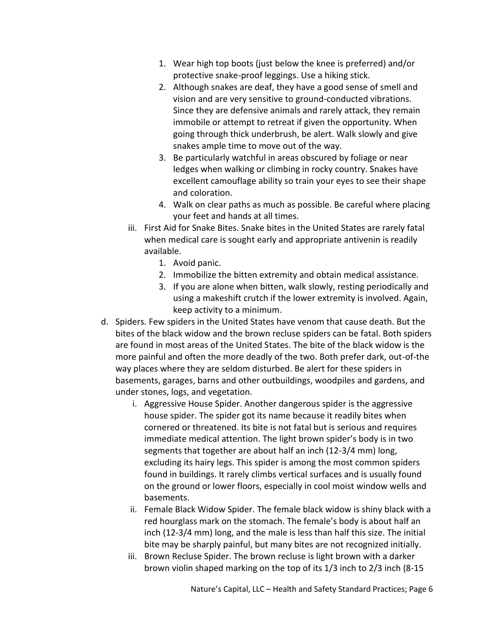- 1. Wear high top boots (just below the knee is preferred) and/or protective snake-proof leggings. Use a hiking stick.
- 2. Although snakes are deaf, they have a good sense of smell and vision and are very sensitive to ground-conducted vibrations. Since they are defensive animals and rarely attack, they remain immobile or attempt to retreat if given the opportunity. When going through thick underbrush, be alert. Walk slowly and give snakes ample time to move out of the way.
- 3. Be particularly watchful in areas obscured by foliage or near ledges when walking or climbing in rocky country. Snakes have excellent camouflage ability so train your eyes to see their shape and coloration.
- 4. Walk on clear paths as much as possible. Be careful where placing your feet and hands at all times.
- iii. First Aid for Snake Bites. Snake bites in the United States are rarely fatal when medical care is sought early and appropriate antivenin is readily available.
	- 1. Avoid panic.
	- 2. Immobilize the bitten extremity and obtain medical assistance.
	- 3. If you are alone when bitten, walk slowly, resting periodically and using a makeshift crutch if the lower extremity is involved. Again, keep activity to a minimum.
- d. Spiders. Few spiders in the United States have venom that cause death. But the bites of the black widow and the brown recluse spiders can be fatal. Both spiders are found in most areas of the United States. The bite of the black widow is the more painful and often the more deadly of the two. Both prefer dark, out-of-the way places where they are seldom disturbed. Be alert for these spiders in basements, garages, barns and other outbuildings, woodpiles and gardens, and under stones, logs, and vegetation.
	- i. Aggressive House Spider. Another dangerous spider is the aggressive house spider. The spider got its name because it readily bites when cornered or threatened. Its bite is not fatal but is serious and requires immediate medical attention. The light brown spider's body is in two segments that together are about half an inch (12-3/4 mm) long, excluding its hairy legs. This spider is among the most common spiders found in buildings. It rarely climbs vertical surfaces and is usually found on the ground or lower floors, especially in cool moist window wells and basements.
	- ii. Female Black Widow Spider. The female black widow is shiny black with a red hourglass mark on the stomach. The female's body is about half an inch (12-3/4 mm) long, and the male is less than half this size. The initial bite may be sharply painful, but many bites are not recognized initially.
	- iii. Brown Recluse Spider. The brown recluse is light brown with a darker brown violin shaped marking on the top of its 1/3 inch to 2/3 inch (8-15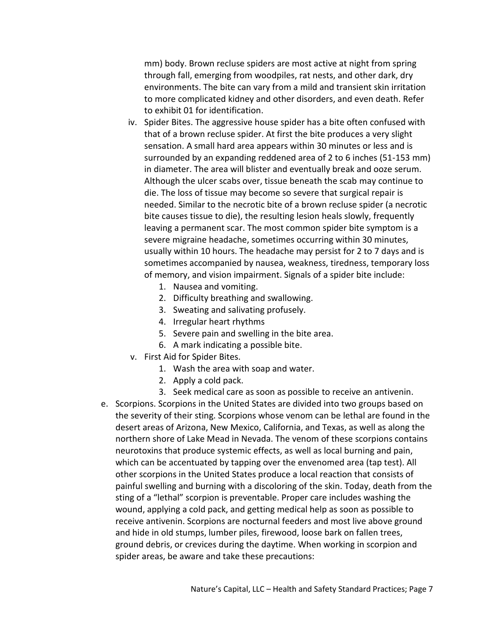mm) body. Brown recluse spiders are most active at night from spring through fall, emerging from woodpiles, rat nests, and other dark, dry environments. The bite can vary from a mild and transient skin irritation to more complicated kidney and other disorders, and even death. Refer to exhibit 01 for identification.

- iv. Spider Bites. The aggressive house spider has a bite often confused with that of a brown recluse spider. At first the bite produces a very slight sensation. A small hard area appears within 30 minutes or less and is surrounded by an expanding reddened area of 2 to 6 inches (51-153 mm) in diameter. The area will blister and eventually break and ooze serum. Although the ulcer scabs over, tissue beneath the scab may continue to die. The loss of tissue may become so severe that surgical repair is needed. Similar to the necrotic bite of a brown recluse spider (a necrotic bite causes tissue to die), the resulting lesion heals slowly, frequently leaving a permanent scar. The most common spider bite symptom is a severe migraine headache, sometimes occurring within 30 minutes, usually within 10 hours. The headache may persist for 2 to 7 days and is sometimes accompanied by nausea, weakness, tiredness, temporary loss of memory, and vision impairment. Signals of a spider bite include:
	- 1. Nausea and vomiting.
	- 2. Difficulty breathing and swallowing.
	- 3. Sweating and salivating profusely.
	- 4. Irregular heart rhythms
	- 5. Severe pain and swelling in the bite area.
	- 6. A mark indicating a possible bite.
- v. First Aid for Spider Bites.
	- 1. Wash the area with soap and water.
	- 2. Apply a cold pack.
	- 3. Seek medical care as soon as possible to receive an antivenin.
- e. Scorpions. Scorpions in the United States are divided into two groups based on the severity of their sting. Scorpions whose venom can be lethal are found in the desert areas of Arizona, New Mexico, California, and Texas, as well as along the northern shore of Lake Mead in Nevada. The venom of these scorpions contains neurotoxins that produce systemic effects, as well as local burning and pain, which can be accentuated by tapping over the envenomed area (tap test). All other scorpions in the United States produce a local reaction that consists of painful swelling and burning with a discoloring of the skin. Today, death from the sting of a "lethal" scorpion is preventable. Proper care includes washing the wound, applying a cold pack, and getting medical help as soon as possible to receive antivenin. Scorpions are nocturnal feeders and most live above ground and hide in old stumps, lumber piles, firewood, loose bark on fallen trees, ground debris, or crevices during the daytime. When working in scorpion and spider areas, be aware and take these precautions: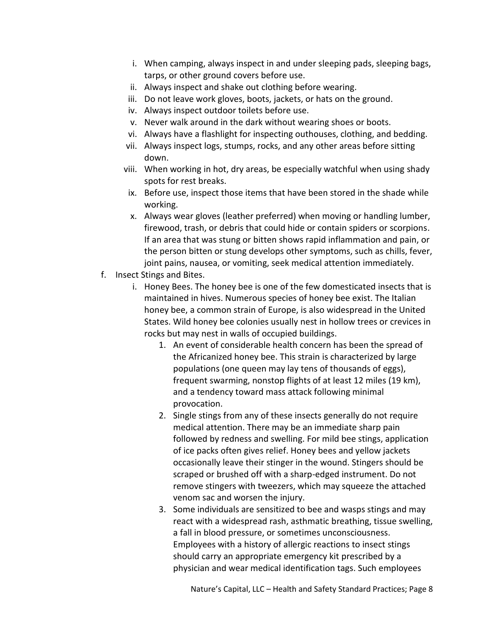- i. When camping, always inspect in and under sleeping pads, sleeping bags, tarps, or other ground covers before use.
- ii. Always inspect and shake out clothing before wearing.
- iii. Do not leave work gloves, boots, jackets, or hats on the ground.
- iv. Always inspect outdoor toilets before use.
- v. Never walk around in the dark without wearing shoes or boots.
- vi. Always have a flashlight for inspecting outhouses, clothing, and bedding.
- vii. Always inspect logs, stumps, rocks, and any other areas before sitting down.
- viii. When working in hot, dry areas, be especially watchful when using shady spots for rest breaks.
- ix. Before use, inspect those items that have been stored in the shade while working.
- x. Always wear gloves (leather preferred) when moving or handling lumber, firewood, trash, or debris that could hide or contain spiders or scorpions. If an area that was stung or bitten shows rapid inflammation and pain, or the person bitten or stung develops other symptoms, such as chills, fever, joint pains, nausea, or vomiting, seek medical attention immediately.
- f. Insect Stings and Bites.
	- i. Honey Bees. The honey bee is one of the few domesticated insects that is maintained in hives. Numerous species of honey bee exist. The Italian honey bee, a common strain of Europe, is also widespread in the United States. Wild honey bee colonies usually nest in hollow trees or crevices in rocks but may nest in walls of occupied buildings.
		- 1. An event of considerable health concern has been the spread of the Africanized honey bee. This strain is characterized by large populations (one queen may lay tens of thousands of eggs), frequent swarming, nonstop flights of at least 12 miles (19 km), and a tendency toward mass attack following minimal provocation.
		- 2. Single stings from any of these insects generally do not require medical attention. There may be an immediate sharp pain followed by redness and swelling. For mild bee stings, application of ice packs often gives relief. Honey bees and yellow jackets occasionally leave their stinger in the wound. Stingers should be scraped or brushed off with a sharp-edged instrument. Do not remove stingers with tweezers, which may squeeze the attached venom sac and worsen the injury.
		- 3. Some individuals are sensitized to bee and wasps stings and may react with a widespread rash, asthmatic breathing, tissue swelling, a fall in blood pressure, or sometimes unconsciousness. Employees with a history of allergic reactions to insect stings should carry an appropriate emergency kit prescribed by a physician and wear medical identification tags. Such employees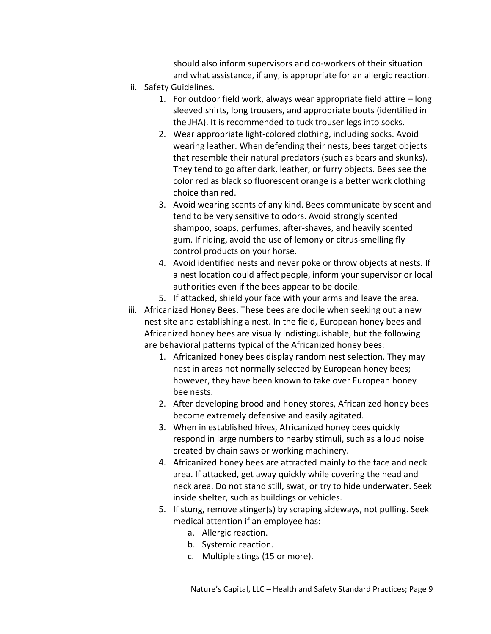should also inform supervisors and co-workers of their situation and what assistance, if any, is appropriate for an allergic reaction.

- ii. Safety Guidelines.
	- 1. For outdoor field work, always wear appropriate field attire long sleeved shirts, long trousers, and appropriate boots (identified in the JHA). It is recommended to tuck trouser legs into socks.
	- 2. Wear appropriate light-colored clothing, including socks. Avoid wearing leather. When defending their nests, bees target objects that resemble their natural predators (such as bears and skunks). They tend to go after dark, leather, or furry objects. Bees see the color red as black so fluorescent orange is a better work clothing choice than red.
	- 3. Avoid wearing scents of any kind. Bees communicate by scent and tend to be very sensitive to odors. Avoid strongly scented shampoo, soaps, perfumes, after-shaves, and heavily scented gum. If riding, avoid the use of lemony or citrus-smelling fly control products on your horse.
	- 4. Avoid identified nests and never poke or throw objects at nests. If a nest location could affect people, inform your supervisor or local authorities even if the bees appear to be docile.
	- 5. If attacked, shield your face with your arms and leave the area.
- iii. Africanized Honey Bees. These bees are docile when seeking out a new nest site and establishing a nest. In the field, European honey bees and Africanized honey bees are visually indistinguishable, but the following are behavioral patterns typical of the Africanized honey bees:
	- 1. Africanized honey bees display random nest selection. They may nest in areas not normally selected by European honey bees; however, they have been known to take over European honey bee nests.
	- 2. After developing brood and honey stores, Africanized honey bees become extremely defensive and easily agitated.
	- 3. When in established hives, Africanized honey bees quickly respond in large numbers to nearby stimuli, such as a loud noise created by chain saws or working machinery.
	- 4. Africanized honey bees are attracted mainly to the face and neck area. If attacked, get away quickly while covering the head and neck area. Do not stand still, swat, or try to hide underwater. Seek inside shelter, such as buildings or vehicles.
	- 5. If stung, remove stinger(s) by scraping sideways, not pulling. Seek medical attention if an employee has:
		- a. Allergic reaction.
		- b. Systemic reaction.
		- c. Multiple stings (15 or more).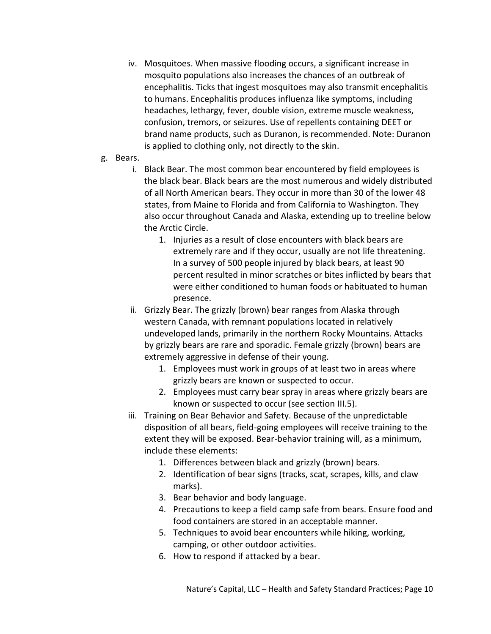- iv. Mosquitoes. When massive flooding occurs, a significant increase in mosquito populations also increases the chances of an outbreak of encephalitis. Ticks that ingest mosquitoes may also transmit encephalitis to humans. Encephalitis produces influenza like symptoms, including headaches, lethargy, fever, double vision, extreme muscle weakness, confusion, tremors, or seizures. Use of repellents containing DEET or brand name products, such as Duranon, is recommended. Note: Duranon is applied to clothing only, not directly to the skin.
- <span id="page-10-0"></span>g. Bears.
	- i. Black Bear. The most common bear encountered by field employees is the black bear. Black bears are the most numerous and widely distributed of all North American bears. They occur in more than 30 of the lower 48 states, from Maine to Florida and from California to Washington. They also occur throughout Canada and Alaska, extending up to treeline below the Arctic Circle.
		- 1. Injuries as a result of close encounters with black bears are extremely rare and if they occur, usually are not life threatening. In a survey of 500 people injured by black bears, at least 90 percent resulted in minor scratches or bites inflicted by bears that were either conditioned to human foods or habituated to human presence.
	- ii. Grizzly Bear. The grizzly (brown) bear ranges from Alaska through western Canada, with remnant populations located in relatively undeveloped lands, primarily in the northern Rocky Mountains. Attacks by grizzly bears are rare and sporadic. Female grizzly (brown) bears are extremely aggressive in defense of their young.
		- 1. Employees must work in groups of at least two in areas where grizzly bears are known or suspected to occur.
		- 2. Employees must carry bear spray in areas where grizzly bears are known or suspected to occur (see section [III](#page-21-0)[.5\)](#page-23-0).
	- iii. Training on Bear Behavior and Safety. Because of the unpredictable disposition of all bears, field-going employees will receive training to the extent they will be exposed. Bear-behavior training will, as a minimum, include these elements:
		- 1. Differences between black and grizzly (brown) bears.
		- 2. Identification of bear signs (tracks, scat, scrapes, kills, and claw marks).
		- 3. Bear behavior and body language.
		- 4. Precautions to keep a field camp safe from bears. Ensure food and food containers are stored in an acceptable manner.
		- 5. Techniques to avoid bear encounters while hiking, working, camping, or other outdoor activities.
		- 6. How to respond if attacked by a bear.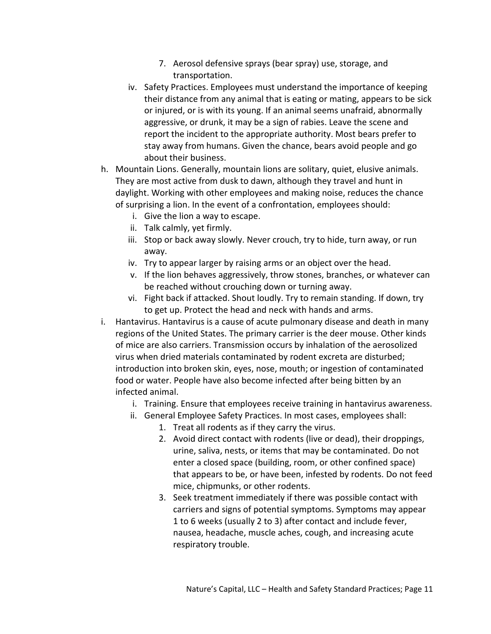- 7. Aerosol defensive sprays (bear spray) use, storage, and transportation.
- iv. Safety Practices. Employees must understand the importance of keeping their distance from any animal that is eating or mating, appears to be sick or injured, or is with its young. If an animal seems unafraid, abnormally aggressive, or drunk, it may be a sign of rabies. Leave the scene and report the incident to the appropriate authority. Most bears prefer to stay away from humans. Given the chance, bears avoid people and go about their business.
- h. Mountain Lions. Generally, mountain lions are solitary, quiet, elusive animals. They are most active from dusk to dawn, although they travel and hunt in daylight. Working with other employees and making noise, reduces the chance of surprising a lion. In the event of a confrontation, employees should:
	- i. Give the lion a way to escape.
	- ii. Talk calmly, yet firmly.
	- iii. Stop or back away slowly. Never crouch, try to hide, turn away, or run away.
	- iv. Try to appear larger by raising arms or an object over the head.
	- v. If the lion behaves aggressively, throw stones, branches, or whatever can be reached without crouching down or turning away.
	- vi. Fight back if attacked. Shout loudly. Try to remain standing. If down, try to get up. Protect the head and neck with hands and arms.
- i. Hantavirus. Hantavirus is a cause of acute pulmonary disease and death in many regions of the United States. The primary carrier is the deer mouse. Other kinds of mice are also carriers. Transmission occurs by inhalation of the aerosolized virus when dried materials contaminated by rodent excreta are disturbed; introduction into broken skin, eyes, nose, mouth; or ingestion of contaminated food or water. People have also become infected after being bitten by an infected animal.
	- i. Training. Ensure that employees receive training in hantavirus awareness.
	- ii. General Employee Safety Practices. In most cases, employees shall:
		- 1. Treat all rodents as if they carry the virus.
		- 2. Avoid direct contact with rodents (live or dead), their droppings, urine, saliva, nests, or items that may be contaminated. Do not enter a closed space (building, room, or other confined space) that appears to be, or have been, infested by rodents. Do not feed mice, chipmunks, or other rodents.
		- 3. Seek treatment immediately if there was possible contact with carriers and signs of potential symptoms. Symptoms may appear 1 to 6 weeks (usually 2 to 3) after contact and include fever, nausea, headache, muscle aches, cough, and increasing acute respiratory trouble.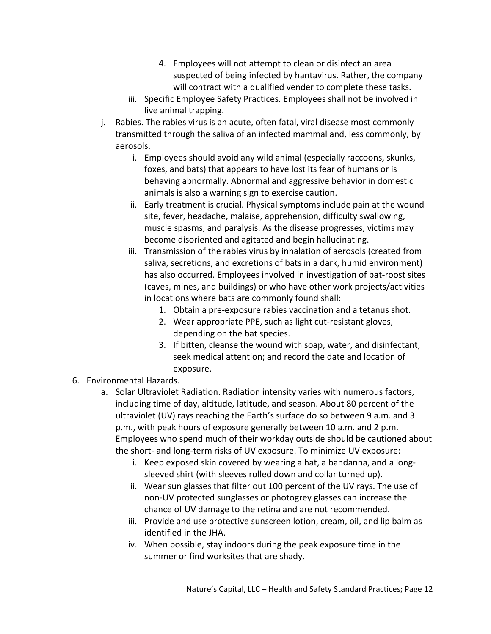- 4. Employees will not attempt to clean or disinfect an area suspected of being infected by hantavirus. Rather, the company will contract with a qualified vender to complete these tasks.
- iii. Specific Employee Safety Practices. Employees shall not be involved in live animal trapping.
- j. Rabies. The rabies virus is an acute, often fatal, viral disease most commonly transmitted through the saliva of an infected mammal and, less commonly, by aerosols.
	- i. Employees should avoid any wild animal (especially raccoons, skunks, foxes, and bats) that appears to have lost its fear of humans or is behaving abnormally. Abnormal and aggressive behavior in domestic animals is also a warning sign to exercise caution.
	- ii. Early treatment is crucial. Physical symptoms include pain at the wound site, fever, headache, malaise, apprehension, difficulty swallowing, muscle spasms, and paralysis. As the disease progresses, victims may become disoriented and agitated and begin hallucinating.
	- iii. Transmission of the rabies virus by inhalation of aerosols (created from saliva, secretions, and excretions of bats in a dark, humid environment) has also occurred. Employees involved in investigation of bat-roost sites (caves, mines, and buildings) or who have other work projects/activities in locations where bats are commonly found shall:
		- 1. Obtain a pre-exposure rabies vaccination and a tetanus shot.
		- 2. Wear appropriate PPE, such as light cut-resistant gloves, depending on the bat species.
		- 3. If bitten, cleanse the wound with soap, water, and disinfectant; seek medical attention; and record the date and location of exposure.
- 6. Environmental Hazards.
	- a. Solar Ultraviolet Radiation. Radiation intensity varies with numerous factors, including time of day, altitude, latitude, and season. About 80 percent of the ultraviolet (UV) rays reaching the Earth's surface do so between 9 a.m. and 3 p.m., with peak hours of exposure generally between 10 a.m. and 2 p.m. Employees who spend much of their workday outside should be cautioned about the short- and long-term risks of UV exposure. To minimize UV exposure:
		- i. Keep exposed skin covered by wearing a hat, a bandanna, and a longsleeved shirt (with sleeves rolled down and collar turned up).
		- ii. Wear sun glasses that filter out 100 percent of the UV rays. The use of non-UV protected sunglasses or photogrey glasses can increase the chance of UV damage to the retina and are not recommended.
		- iii. Provide and use protective sunscreen lotion, cream, oil, and lip balm as identified in the JHA.
		- iv. When possible, stay indoors during the peak exposure time in the summer or find worksites that are shady.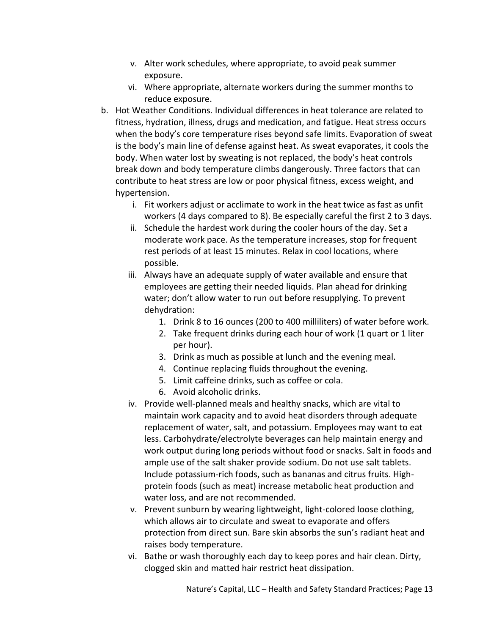- v. Alter work schedules, where appropriate, to avoid peak summer exposure.
- vi. Where appropriate, alternate workers during the summer months to reduce exposure.
- b. Hot Weather Conditions. Individual differences in heat tolerance are related to fitness, hydration, illness, drugs and medication, and fatigue. Heat stress occurs when the body's core temperature rises beyond safe limits. Evaporation of sweat is the body's main line of defense against heat. As sweat evaporates, it cools the body. When water lost by sweating is not replaced, the body's heat controls break down and body temperature climbs dangerously. Three factors that can contribute to heat stress are low or poor physical fitness, excess weight, and hypertension.
	- i. Fit workers adjust or acclimate to work in the heat twice as fast as unfit workers (4 days compared to 8). Be especially careful the first 2 to 3 days.
	- ii. Schedule the hardest work during the cooler hours of the day. Set a moderate work pace. As the temperature increases, stop for frequent rest periods of at least 15 minutes. Relax in cool locations, where possible.
	- iii. Always have an adequate supply of water available and ensure that employees are getting their needed liquids. Plan ahead for drinking water; don't allow water to run out before resupplying. To prevent dehydration:
		- 1. Drink 8 to 16 ounces (200 to 400 milliliters) of water before work.
		- 2. Take frequent drinks during each hour of work (1 quart or 1 liter per hour).
		- 3. Drink as much as possible at lunch and the evening meal.
		- 4. Continue replacing fluids throughout the evening.
		- 5. Limit caffeine drinks, such as coffee or cola.
		- 6. Avoid alcoholic drinks.
	- iv. Provide well-planned meals and healthy snacks, which are vital to maintain work capacity and to avoid heat disorders through adequate replacement of water, salt, and potassium. Employees may want to eat less. Carbohydrate/electrolyte beverages can help maintain energy and work output during long periods without food or snacks. Salt in foods and ample use of the salt shaker provide sodium. Do not use salt tablets. Include potassium-rich foods, such as bananas and citrus fruits. Highprotein foods (such as meat) increase metabolic heat production and water loss, and are not recommended.
	- v. Prevent sunburn by wearing lightweight, light-colored loose clothing, which allows air to circulate and sweat to evaporate and offers protection from direct sun. Bare skin absorbs the sun's radiant heat and raises body temperature.
	- vi. Bathe or wash thoroughly each day to keep pores and hair clean. Dirty, clogged skin and matted hair restrict heat dissipation.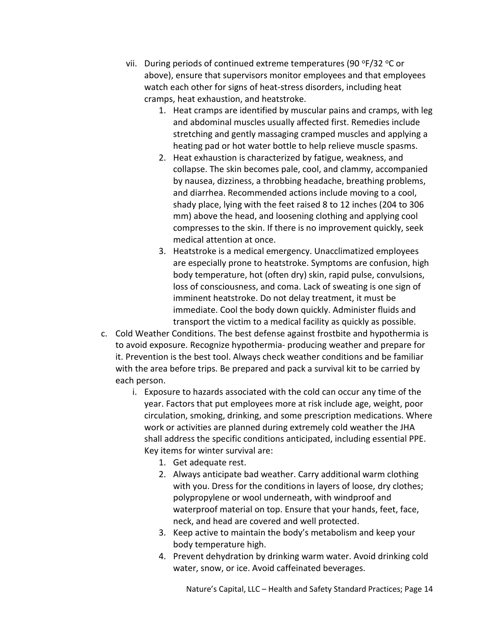- vii. During periods of continued extreme temperatures (90 $\degree$ F/32 $\degree$ C or above), ensure that supervisors monitor employees and that employees watch each other for signs of heat-stress disorders, including heat cramps, heat exhaustion, and heatstroke.
	- 1. Heat cramps are identified by muscular pains and cramps, with leg and abdominal muscles usually affected first. Remedies include stretching and gently massaging cramped muscles and applying a heating pad or hot water bottle to help relieve muscle spasms.
	- 2. Heat exhaustion is characterized by fatigue, weakness, and collapse. The skin becomes pale, cool, and clammy, accompanied by nausea, dizziness, a throbbing headache, breathing problems, and diarrhea. Recommended actions include moving to a cool, shady place, lying with the feet raised 8 to 12 inches (204 to 306 mm) above the head, and loosening clothing and applying cool compresses to the skin. If there is no improvement quickly, seek medical attention at once.
	- 3. Heatstroke is a medical emergency. Unacclimatized employees are especially prone to heatstroke. Symptoms are confusion, high body temperature, hot (often dry) skin, rapid pulse, convulsions, loss of consciousness, and coma. Lack of sweating is one sign of imminent heatstroke. Do not delay treatment, it must be immediate. Cool the body down quickly. Administer fluids and transport the victim to a medical facility as quickly as possible.
- c. Cold Weather Conditions. The best defense against frostbite and hypothermia is to avoid exposure. Recognize hypothermia- producing weather and prepare for it. Prevention is the best tool. Always check weather conditions and be familiar with the area before trips. Be prepared and pack a survival kit to be carried by each person.
	- i. Exposure to hazards associated with the cold can occur any time of the year. Factors that put employees more at risk include age, weight, poor circulation, smoking, drinking, and some prescription medications. Where work or activities are planned during extremely cold weather the JHA shall address the specific conditions anticipated, including essential PPE. Key items for winter survival are:
		- 1. Get adequate rest.
		- 2. Always anticipate bad weather. Carry additional warm clothing with you. Dress for the conditions in layers of loose, dry clothes; polypropylene or wool underneath, with windproof and waterproof material on top. Ensure that your hands, feet, face, neck, and head are covered and well protected.
		- 3. Keep active to maintain the body's metabolism and keep your body temperature high.
		- 4. Prevent dehydration by drinking warm water. Avoid drinking cold water, snow, or ice. Avoid caffeinated beverages.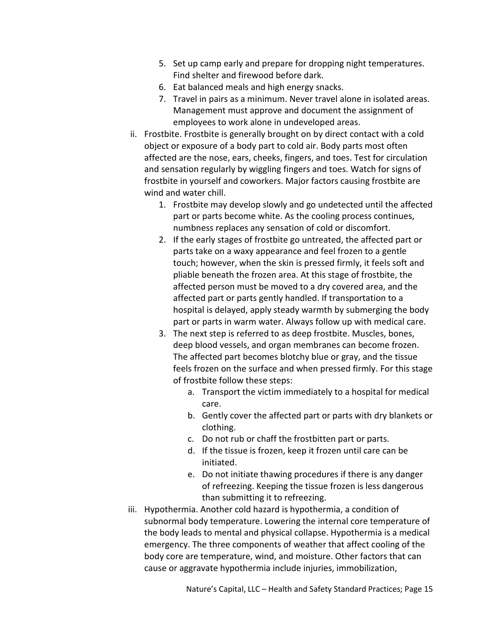- 5. Set up camp early and prepare for dropping night temperatures. Find shelter and firewood before dark.
- 6. Eat balanced meals and high energy snacks.
- 7. Travel in pairs as a minimum. Never travel alone in isolated areas. Management must approve and document the assignment of employees to work alone in undeveloped areas.
- ii. Frostbite. Frostbite is generally brought on by direct contact with a cold object or exposure of a body part to cold air. Body parts most often affected are the nose, ears, cheeks, fingers, and toes. Test for circulation and sensation regularly by wiggling fingers and toes. Watch for signs of frostbite in yourself and coworkers. Major factors causing frostbite are wind and water chill.
	- 1. Frostbite may develop slowly and go undetected until the affected part or parts become white. As the cooling process continues, numbness replaces any sensation of cold or discomfort.
	- 2. If the early stages of frostbite go untreated, the affected part or parts take on a waxy appearance and feel frozen to a gentle touch; however, when the skin is pressed firmly, it feels soft and pliable beneath the frozen area. At this stage of frostbite, the affected person must be moved to a dry covered area, and the affected part or parts gently handled. If transportation to a hospital is delayed, apply steady warmth by submerging the body part or parts in warm water. Always follow up with medical care.
	- 3. The next step is referred to as deep frostbite. Muscles, bones, deep blood vessels, and organ membranes can become frozen. The affected part becomes blotchy blue or gray, and the tissue feels frozen on the surface and when pressed firmly. For this stage of frostbite follow these steps:
		- a. Transport the victim immediately to a hospital for medical care.
		- b. Gently cover the affected part or parts with dry blankets or clothing.
		- c. Do not rub or chaff the frostbitten part or parts.
		- d. If the tissue is frozen, keep it frozen until care can be initiated.
		- e. Do not initiate thawing procedures if there is any danger of refreezing. Keeping the tissue frozen is less dangerous than submitting it to refreezing.
- iii. Hypothermia. Another cold hazard is hypothermia, a condition of subnormal body temperature. Lowering the internal core temperature of the body leads to mental and physical collapse. Hypothermia is a medical emergency. The three components of weather that affect cooling of the body core are temperature, wind, and moisture. Other factors that can cause or aggravate hypothermia include injuries, immobilization,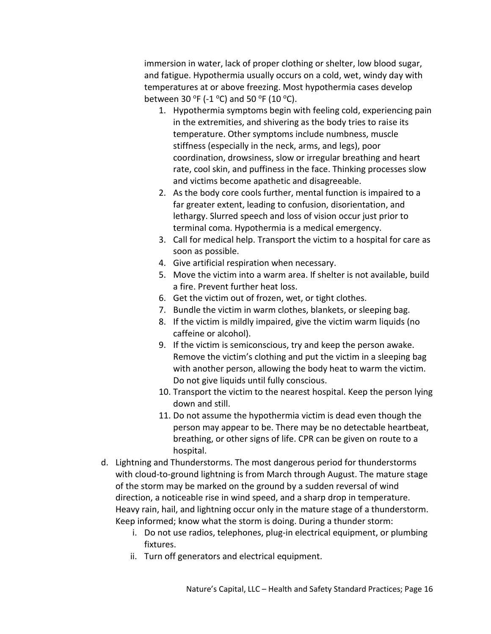immersion in water, lack of proper clothing or shelter, low blood sugar, and fatigue. Hypothermia usually occurs on a cold, wet, windy day with temperatures at or above freezing. Most hypothermia cases develop between 30 °F (-1 °C) and 50 °F (10 °C).

- 1. Hypothermia symptoms begin with feeling cold, experiencing pain in the extremities, and shivering as the body tries to raise its temperature. Other symptoms include numbness, muscle stiffness (especially in the neck, arms, and legs), poor coordination, drowsiness, slow or irregular breathing and heart rate, cool skin, and puffiness in the face. Thinking processes slow and victims become apathetic and disagreeable.
- 2. As the body core cools further, mental function is impaired to a far greater extent, leading to confusion, disorientation, and lethargy. Slurred speech and loss of vision occur just prior to terminal coma. Hypothermia is a medical emergency.
- 3. Call for medical help. Transport the victim to a hospital for care as soon as possible.
- 4. Give artificial respiration when necessary.
- 5. Move the victim into a warm area. If shelter is not available, build a fire. Prevent further heat loss.
- 6. Get the victim out of frozen, wet, or tight clothes.
- 7. Bundle the victim in warm clothes, blankets, or sleeping bag.
- 8. If the victim is mildly impaired, give the victim warm liquids (no caffeine or alcohol).
- 9. If the victim is semiconscious, try and keep the person awake. Remove the victim's clothing and put the victim in a sleeping bag with another person, allowing the body heat to warm the victim. Do not give liquids until fully conscious.
- 10. Transport the victim to the nearest hospital. Keep the person lying down and still.
- 11. Do not assume the hypothermia victim is dead even though the person may appear to be. There may be no detectable heartbeat, breathing, or other signs of life. CPR can be given on route to a hospital.
- d. Lightning and Thunderstorms. The most dangerous period for thunderstorms with cloud-to-ground lightning is from March through August. The mature stage of the storm may be marked on the ground by a sudden reversal of wind direction, a noticeable rise in wind speed, and a sharp drop in temperature. Heavy rain, hail, and lightning occur only in the mature stage of a thunderstorm. Keep informed; know what the storm is doing. During a thunder storm:
	- i. Do not use radios, telephones, plug-in electrical equipment, or plumbing fixtures.
	- ii. Turn off generators and electrical equipment.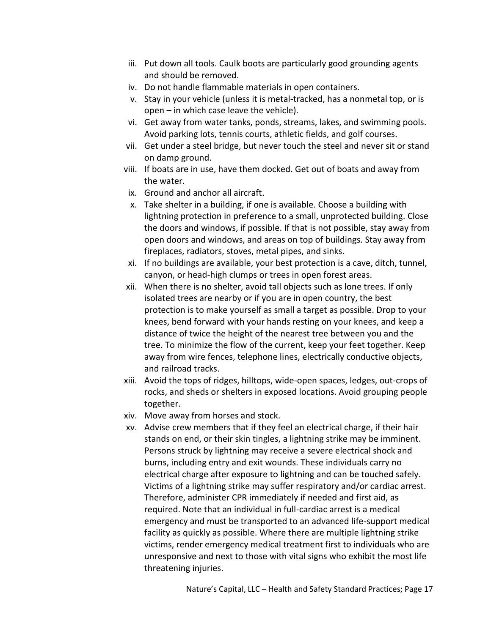- iii. Put down all tools. Caulk boots are particularly good grounding agents and should be removed.
- iv. Do not handle flammable materials in open containers.
- v. Stay in your vehicle (unless it is metal-tracked, has a nonmetal top, or is open – in which case leave the vehicle).
- vi. Get away from water tanks, ponds, streams, lakes, and swimming pools. Avoid parking lots, tennis courts, athletic fields, and golf courses.
- vii. Get under a steel bridge, but never touch the steel and never sit or stand on damp ground.
- viii. If boats are in use, have them docked. Get out of boats and away from the water.
- ix. Ground and anchor all aircraft.
- x. Take shelter in a building, if one is available. Choose a building with lightning protection in preference to a small, unprotected building. Close the doors and windows, if possible. If that is not possible, stay away from open doors and windows, and areas on top of buildings. Stay away from fireplaces, radiators, stoves, metal pipes, and sinks.
- xi. If no buildings are available, your best protection is a cave, ditch, tunnel, canyon, or head-high clumps or trees in open forest areas.
- xii. When there is no shelter, avoid tall objects such as lone trees. If only isolated trees are nearby or if you are in open country, the best protection is to make yourself as small a target as possible. Drop to your knees, bend forward with your hands resting on your knees, and keep a distance of twice the height of the nearest tree between you and the tree. To minimize the flow of the current, keep your feet together. Keep away from wire fences, telephone lines, electrically conductive objects, and railroad tracks.
- xiii. Avoid the tops of ridges, hilltops, wide-open spaces, ledges, out-crops of rocks, and sheds or shelters in exposed locations. Avoid grouping people together.
- xiv. Move away from horses and stock.
- xv. Advise crew members that if they feel an electrical charge, if their hair stands on end, or their skin tingles, a lightning strike may be imminent. Persons struck by lightning may receive a severe electrical shock and burns, including entry and exit wounds. These individuals carry no electrical charge after exposure to lightning and can be touched safely. Victims of a lightning strike may suffer respiratory and/or cardiac arrest. Therefore, administer CPR immediately if needed and first aid, as required. Note that an individual in full-cardiac arrest is a medical emergency and must be transported to an advanced life-support medical facility as quickly as possible. Where there are multiple lightning strike victims, render emergency medical treatment first to individuals who are unresponsive and next to those with vital signs who exhibit the most life threatening injuries.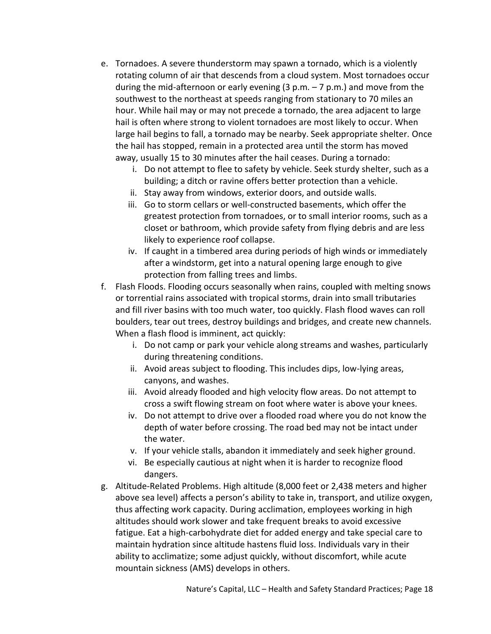- e. Tornadoes. A severe thunderstorm may spawn a tornado, which is a violently rotating column of air that descends from a cloud system. Most tornadoes occur during the mid-afternoon or early evening (3 p.m. – 7 p.m.) and move from the southwest to the northeast at speeds ranging from stationary to 70 miles an hour. While hail may or may not precede a tornado, the area adjacent to large hail is often where strong to violent tornadoes are most likely to occur. When large hail begins to fall, a tornado may be nearby. Seek appropriate shelter. Once the hail has stopped, remain in a protected area until the storm has moved away, usually 15 to 30 minutes after the hail ceases. During a tornado:
	- i. Do not attempt to flee to safety by vehicle. Seek sturdy shelter, such as a building; a ditch or ravine offers better protection than a vehicle.
	- ii. Stay away from windows, exterior doors, and outside walls.
	- iii. Go to storm cellars or well-constructed basements, which offer the greatest protection from tornadoes, or to small interior rooms, such as a closet or bathroom, which provide safety from flying debris and are less likely to experience roof collapse.
	- iv. If caught in a timbered area during periods of high winds or immediately after a windstorm, get into a natural opening large enough to give protection from falling trees and limbs.
- f. Flash Floods. Flooding occurs seasonally when rains, coupled with melting snows or torrential rains associated with tropical storms, drain into small tributaries and fill river basins with too much water, too quickly. Flash flood waves can roll boulders, tear out trees, destroy buildings and bridges, and create new channels. When a flash flood is imminent, act quickly:
	- i. Do not camp or park your vehicle along streams and washes, particularly during threatening conditions.
	- ii. Avoid areas subject to flooding. This includes dips, low-lying areas, canyons, and washes.
	- iii. Avoid already flooded and high velocity flow areas. Do not attempt to cross a swift flowing stream on foot where water is above your knees.
	- iv. Do not attempt to drive over a flooded road where you do not know the depth of water before crossing. The road bed may not be intact under the water.
	- v. If your vehicle stalls, abandon it immediately and seek higher ground.
	- vi. Be especially cautious at night when it is harder to recognize flood dangers.
- g. Altitude-Related Problems. High altitude (8,000 feet or 2,438 meters and higher above sea level) affects a person's ability to take in, transport, and utilize oxygen, thus affecting work capacity. During acclimation, employees working in high altitudes should work slower and take frequent breaks to avoid excessive fatigue. Eat a high-carbohydrate diet for added energy and take special care to maintain hydration since altitude hastens fluid loss. Individuals vary in their ability to acclimatize; some adjust quickly, without discomfort, while acute mountain sickness (AMS) develops in others.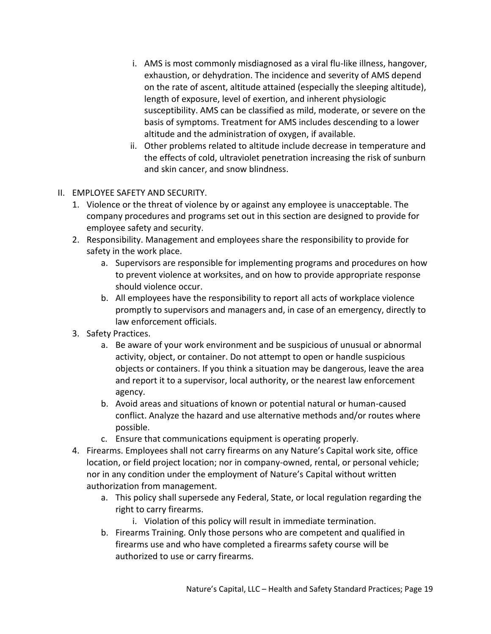- i. AMS is most commonly misdiagnosed as a viral flu-like illness, hangover, exhaustion, or dehydration. The incidence and severity of AMS depend on the rate of ascent, altitude attained (especially the sleeping altitude), length of exposure, level of exertion, and inherent physiologic susceptibility. AMS can be classified as mild, moderate, or severe on the basis of symptoms. Treatment for AMS includes descending to a lower altitude and the administration of oxygen, if available.
- ii. Other problems related to altitude include decrease in temperature and the effects of cold, ultraviolet penetration increasing the risk of sunburn and skin cancer, and snow blindness.
- <span id="page-19-0"></span>II. EMPLOYEE SAFETY AND SECURITY.
	- 1. Violence or the threat of violence by or against any employee is unacceptable. The company procedures and programs set out in this section are designed to provide for employee safety and security.
	- 2. Responsibility. Management and employees share the responsibility to provide for safety in the work place.
		- a. Supervisors are responsible for implementing programs and procedures on how to prevent violence at worksites, and on how to provide appropriate response should violence occur.
		- b. All employees have the responsibility to report all acts of workplace violence promptly to supervisors and managers and, in case of an emergency, directly to law enforcement officials.
	- 3. Safety Practices.
		- a. Be aware of your work environment and be suspicious of unusual or abnormal activity, object, or container. Do not attempt to open or handle suspicious objects or containers. If you think a situation may be dangerous, leave the area and report it to a supervisor, local authority, or the nearest law enforcement agency.
		- b. Avoid areas and situations of known or potential natural or human-caused conflict. Analyze the hazard and use alternative methods and/or routes where possible.
		- c. Ensure that communications equipment is operating properly.
	- 4. Firearms. Employees shall not carry firearms on any Nature's Capital work site, office location, or field project location; nor in company-owned, rental, or personal vehicle; nor in any condition under the employment of Nature's Capital without written authorization from management.
		- a. This policy shall supersede any Federal, State, or local regulation regarding the right to carry firearms.
			- i. Violation of this policy will result in immediate termination.
		- b. Firearms Training. Only those persons who are competent and qualified in firearms use and who have completed a firearms safety course will be authorized to use or carry firearms.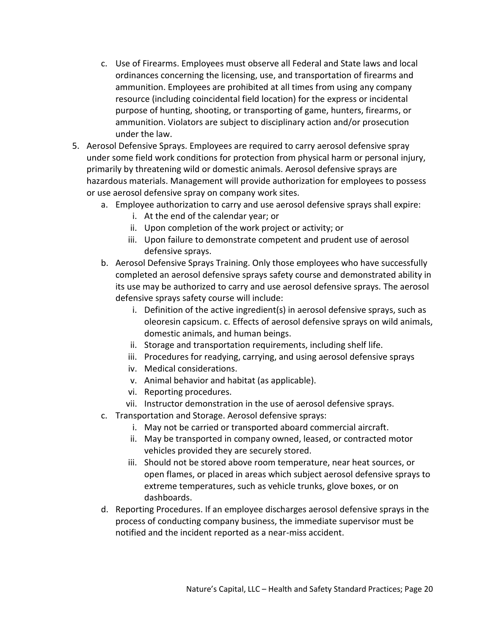- c. Use of Firearms. Employees must observe all Federal and State laws and local ordinances concerning the licensing, use, and transportation of firearms and ammunition. Employees are prohibited at all times from using any company resource (including coincidental field location) for the express or incidental purpose of hunting, shooting, or transporting of game, hunters, firearms, or ammunition. Violators are subject to disciplinary action and/or prosecution under the law.
- 5. Aerosol Defensive Sprays. Employees are required to carry aerosol defensive spray under some field work conditions for protection from physical harm or personal injury, primarily by threatening wild or domestic animals. Aerosol defensive sprays are hazardous materials. Management will provide authorization for employees to possess or use aerosol defensive spray on company work sites.
	- a. Employee authorization to carry and use aerosol defensive sprays shall expire:
		- i. At the end of the calendar year; or
		- ii. Upon completion of the work project or activity; or
		- iii. Upon failure to demonstrate competent and prudent use of aerosol defensive sprays.
	- b. Aerosol Defensive Sprays Training. Only those employees who have successfully completed an aerosol defensive sprays safety course and demonstrated ability in its use may be authorized to carry and use aerosol defensive sprays. The aerosol defensive sprays safety course will include:
		- i. Definition of the active ingredient(s) in aerosol defensive sprays, such as oleoresin capsicum. c. Effects of aerosol defensive sprays on wild animals, domestic animals, and human beings.
		- ii. Storage and transportation requirements, including shelf life.
		- iii. Procedures for readying, carrying, and using aerosol defensive sprays
		- iv. Medical considerations.
		- v. Animal behavior and habitat (as applicable).
		- vi. Reporting procedures.
		- vii. Instructor demonstration in the use of aerosol defensive sprays.
	- c. Transportation and Storage. Aerosol defensive sprays:
		- i. May not be carried or transported aboard commercial aircraft.
		- ii. May be transported in company owned, leased, or contracted motor vehicles provided they are securely stored.
		- iii. Should not be stored above room temperature, near heat sources, or open flames, or placed in areas which subject aerosol defensive sprays to extreme temperatures, such as vehicle trunks, glove boxes, or on dashboards.
	- d. Reporting Procedures. If an employee discharges aerosol defensive sprays in the process of conducting company business, the immediate supervisor must be notified and the incident reported as a near-miss accident.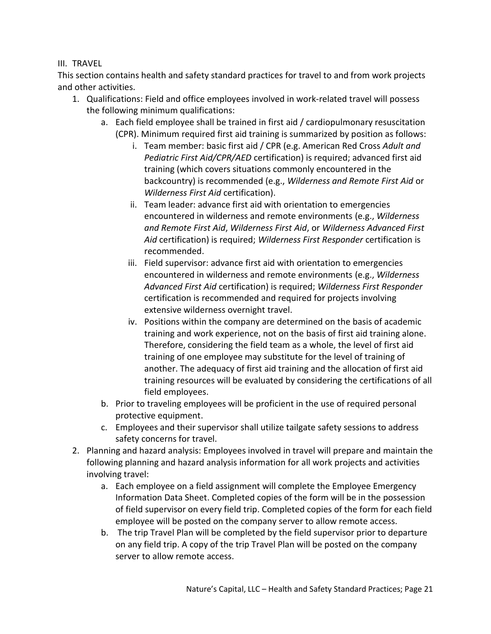#### <span id="page-21-0"></span>III. TRAVEL

This section contains health and safety standard practices for travel to and from work projects and other activities.

- 1. Qualifications: Field and office employees involved in work-related travel will possess the following minimum qualifications:
	- a. Each field employee shall be trained in first aid / cardiopulmonary resuscitation (CPR). Minimum required first aid training is summarized by position as follows:
		- i. Team member: basic first aid / CPR (e.g. American Red Cross *Adult and Pediatric First Aid/CPR/AED* certification) is required; advanced first aid training (which covers situations commonly encountered in the backcountry) is recommended (e.g., *Wilderness and Remote First Aid* or *Wilderness First Aid* certification).
		- ii. Team leader: advance first aid with orientation to emergencies encountered in wilderness and remote environments (e.g., *Wilderness and Remote First Aid*, *Wilderness First Aid*, or *Wilderness Advanced First Aid* certification) is required; *Wilderness First Responder* certification is recommended.
		- iii. Field supervisor: advance first aid with orientation to emergencies encountered in wilderness and remote environments (e.g., *Wilderness Advanced First Aid* certification) is required; *Wilderness First Responder* certification is recommended and required for projects involving extensive wilderness overnight travel.
		- iv. Positions within the company are determined on the basis of academic training and work experience, not on the basis of first aid training alone. Therefore, considering the field team as a whole, the level of first aid training of one employee may substitute for the level of training of another. The adequacy of first aid training and the allocation of first aid training resources will be evaluated by considering the certifications of all field employees.
	- b. Prior to traveling employees will be proficient in the use of required personal protective equipment.
	- c. Employees and their supervisor shall utilize tailgate safety sessions to address safety concerns for travel.
- 2. Planning and hazard analysis: Employees involved in travel will prepare and maintain the following planning and hazard analysis information for all work projects and activities involving travel:
	- a. Each employee on a field assignment will complete the Employee Emergency Information Data Sheet. Completed copies of the form will be in the possession of field supervisor on every field trip. Completed copies of the form for each field employee will be posted on the company server to allow remote access.
	- b. The trip Travel Plan will be completed by the field supervisor prior to departure on any field trip. A copy of the trip Travel Plan will be posted on the company server to allow remote access.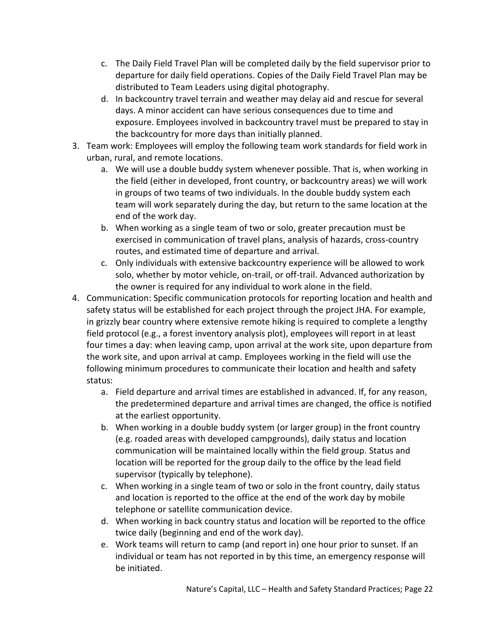- c. The Daily Field Travel Plan will be completed daily by the field supervisor prior to departure for daily field operations. Copies of the Daily Field Travel Plan may be distributed to Team Leaders using digital photography.
- d. In backcountry travel terrain and weather may delay aid and rescue for several days. A minor accident can have serious consequences due to time and exposure. Employees involved in backcountry travel must be prepared to stay in the backcountry for more days than initially planned.
- 3. Team work: Employees will employ the following team work standards for field work in urban, rural, and remote locations.
	- a. We will use a double buddy system whenever possible. That is, when working in the field (either in developed, front country, or backcountry areas) we will work in groups of two teams of two individuals. In the double buddy system each team will work separately during the day, but return to the same location at the end of the work day.
	- b. When working as a single team of two or solo, greater precaution must be exercised in communication of travel plans, analysis of hazards, cross-country routes, and estimated time of departure and arrival.
	- c. Only individuals with extensive backcountry experience will be allowed to work solo, whether by motor vehicle, on-trail, or off-trail. Advanced authorization by the owner is required for any individual to work alone in the field.
- 4. Communication: Specific communication protocols for reporting location and health and safety status will be established for each project through the project JHA. For example, in grizzly bear country where extensive remote hiking is required to complete a lengthy field protocol (e.g., a forest inventory analysis plot), employees will report in at least four times a day: when leaving camp, upon arrival at the work site, upon departure from the work site, and upon arrival at camp. Employees working in the field will use the following minimum procedures to communicate their location and health and safety status:
	- a. Field departure and arrival times are established in advanced. If, for any reason, the predetermined departure and arrival times are changed, the office is notified at the earliest opportunity.
	- b. When working in a double buddy system (or larger group) in the front country (e.g. roaded areas with developed campgrounds), daily status and location communication will be maintained locally within the field group. Status and location will be reported for the group daily to the office by the lead field supervisor (typically by telephone).
	- c. When working in a single team of two or solo in the front country, daily status and location is reported to the office at the end of the work day by mobile telephone or satellite communication device.
	- d. When working in back country status and location will be reported to the office twice daily (beginning and end of the work day).
	- e. Work teams will return to camp (and report in) one hour prior to sunset. If an individual or team has not reported in by this time, an emergency response will be initiated.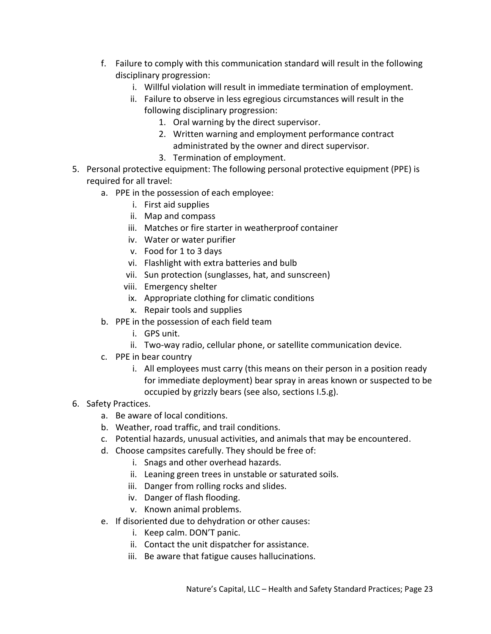- f. Failure to comply with this communication standard will result in the following disciplinary progression:
	- i. Willful violation will result in immediate termination of employment.
	- ii. Failure to observe in less egregious circumstances will result in the following disciplinary progression:
		- 1. Oral warning by the direct supervisor.
		- 2. Written warning and employment performance contract administrated by the owner and direct supervisor.
		- 3. Termination of employment.
- <span id="page-23-0"></span>5. Personal protective equipment: The following personal protective equipment (PPE) is required for all travel:
	- a. PPE in the possession of each employee:
		- i. First aid supplies
		- ii. Map and compass
		- iii. Matches or fire starter in weatherproof container
		- iv. Water or water purifier
		- v. Food for 1 to 3 days
		- vi. Flashlight with extra batteries and bulb
		- vii. Sun protection (sunglasses, hat, and sunscreen)
		- viii. Emergency shelter
		- ix. Appropriate clothing for climatic conditions
		- x. Repair tools and supplies
	- b. PPE in the possession of each field team
		- i. GPS unit.
		- ii. Two-way radio, cellular phone, or satellite communication device.
	- c. PPE in bear country
		- i. All employees must carry (this means on their person in a position ready for immediate deployment) bear spray in areas known or suspected to be occupied by grizzly bears (see also, section[s I](#page-1-0)[.5.g\)](#page-10-0).

#### 6. Safety Practices.

- a. Be aware of local conditions.
- b. Weather, road traffic, and trail conditions.
- c. Potential hazards, unusual activities, and animals that may be encountered.
- d. Choose campsites carefully. They should be free of:
	- i. Snags and other overhead hazards.
	- ii. Leaning green trees in unstable or saturated soils.
	- iii. Danger from rolling rocks and slides.
	- iv. Danger of flash flooding.
	- v. Known animal problems.
- e. If disoriented due to dehydration or other causes:
	- i. Keep calm. DON'T panic.
	- ii. Contact the unit dispatcher for assistance.
	- iii. Be aware that fatigue causes hallucinations.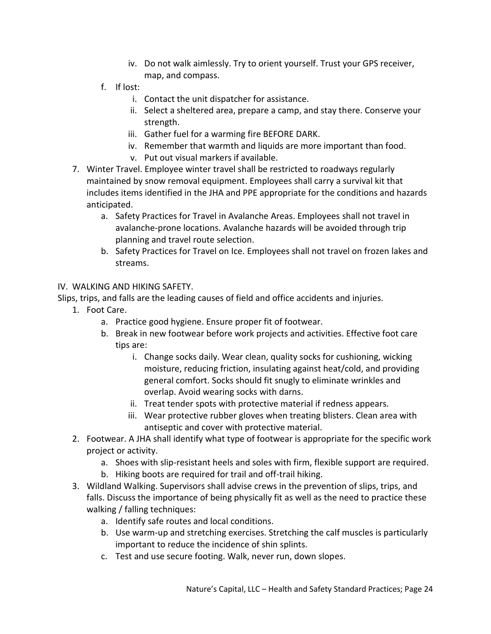- iv. Do not walk aimlessly. Try to orient yourself. Trust your GPS receiver, map, and compass.
- f. If lost:
	- i. Contact the unit dispatcher for assistance.
	- ii. Select a sheltered area, prepare a camp, and stay there. Conserve your strength.
	- iii. Gather fuel for a warming fire BEFORE DARK.
	- iv. Remember that warmth and liquids are more important than food.
	- v. Put out visual markers if available.
- <span id="page-24-1"></span>7. Winter Travel. Employee winter travel shall be restricted to roadways regularly maintained by snow removal equipment. Employees shall carry a survival kit that includes items identified in the JHA and PPE appropriate for the conditions and hazards anticipated.
	- a. Safety Practices for Travel in Avalanche Areas. Employees shall not travel in avalanche-prone locations. Avalanche hazards will be avoided through trip planning and travel route selection.
	- b. Safety Practices for Travel on Ice. Employees shall not travel on frozen lakes and streams.

#### <span id="page-24-0"></span>IV. WALKING AND HIKING SAFETY.

Slips, trips, and falls are the leading causes of field and office accidents and injuries.

- 1. Foot Care.
	- a. Practice good hygiene. Ensure proper fit of footwear.
	- b. Break in new footwear before work projects and activities. Effective foot care tips are:
		- i. Change socks daily. Wear clean, quality socks for cushioning, wicking moisture, reducing friction, insulating against heat/cold, and providing general comfort. Socks should fit snugly to eliminate wrinkles and overlap. Avoid wearing socks with darns.
		- ii. Treat tender spots with protective material if redness appears.
		- iii. Wear protective rubber gloves when treating blisters. Clean area with antiseptic and cover with protective material.
- 2. Footwear. A JHA shall identify what type of footwear is appropriate for the specific work project or activity.
	- a. Shoes with slip-resistant heels and soles with firm, flexible support are required.
	- b. Hiking boots are required for trail and off-trail hiking.
- 3. Wildland Walking. Supervisors shall advise crews in the prevention of slips, trips, and falls. Discuss the importance of being physically fit as well as the need to practice these walking / falling techniques:
	- a. Identify safe routes and local conditions.
	- b. Use warm-up and stretching exercises. Stretching the calf muscles is particularly important to reduce the incidence of shin splints.
	- c. Test and use secure footing. Walk, never run, down slopes.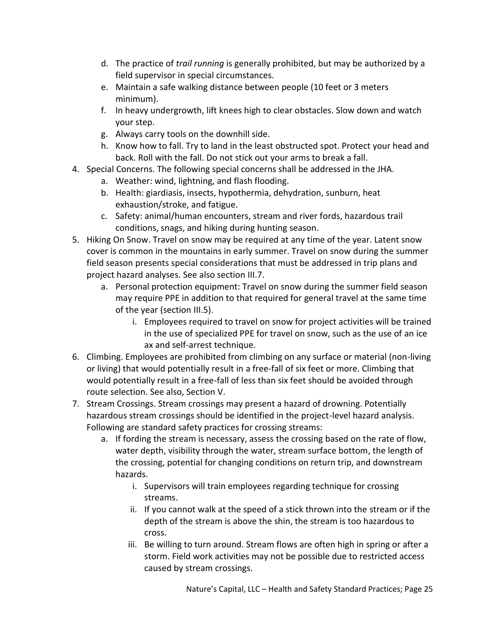- d. The practice of *trail running* is generally prohibited, but may be authorized by a field supervisor in special circumstances.
- e. Maintain a safe walking distance between people (10 feet or 3 meters minimum).
- f. In heavy undergrowth, lift knees high to clear obstacles. Slow down and watch your step.
- g. Always carry tools on the downhill side.
- h. Know how to fall. Try to land in the least obstructed spot. Protect your head and back. Roll with the fall. Do not stick out your arms to break a fall.
- 4. Special Concerns. The following special concerns shall be addressed in the JHA.
	- a. Weather: wind, lightning, and flash flooding.
	- b. Health: giardiasis, insects, hypothermia, dehydration, sunburn, heat exhaustion/stroke, and fatigue.
	- c. Safety: animal/human encounters, stream and river fords, hazardous trail conditions, snags, and hiking during hunting season.
- 5. Hiking On Snow. Travel on snow may be required at any time of the year. Latent snow cover is common in the mountains in early summer. Travel on snow during the summer field season presents special considerations that must be addressed in trip plans and project hazard analyses. See also section [III](#page-21-0)[.7.](#page-24-1)
	- a. Personal protection equipment: Travel on snow during the summer field season may require PPE in addition to that required for general travel at the same time of the year (section [III](#page-21-0)[.5\)](#page-23-0).
		- i. Employees required to travel on snow for project activities will be trained in the use of specialized PPE for travel on snow, such as the use of an ice ax and self-arrest technique.
- 6. Climbing. Employees are prohibited from climbing on any surface or material (non-living or living) that would potentially result in a free-fall of six feet or more. Climbing that would potentially result in a free-fall of less than six feet should be avoided through route selection. See also, Section [V.](#page-26-0)
- 7. Stream Crossings. Stream crossings may present a hazard of drowning. Potentially hazardous stream crossings should be identified in the project-level hazard analysis. Following are standard safety practices for crossing streams:
	- a. If fording the stream is necessary, assess the crossing based on the rate of flow, water depth, visibility through the water, stream surface bottom, the length of the crossing, potential for changing conditions on return trip, and downstream hazards.
		- i. Supervisors will train employees regarding technique for crossing streams.
		- ii. If you cannot walk at the speed of a stick thrown into the stream or if the depth of the stream is above the shin, the stream is too hazardous to cross.
		- iii. Be willing to turn around. Stream flows are often high in spring or after a storm. Field work activities may not be possible due to restricted access caused by stream crossings.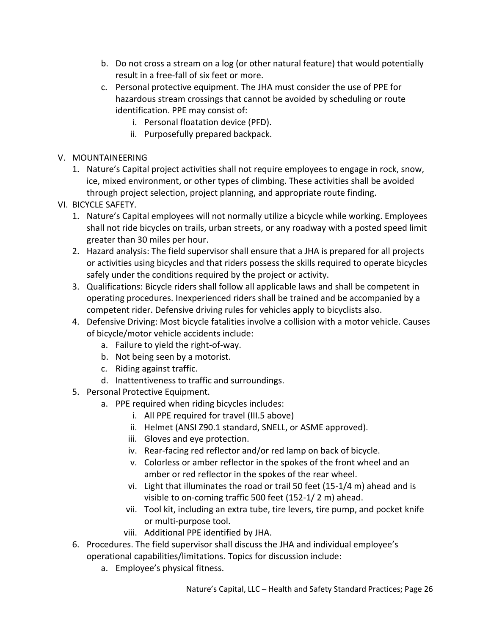- b. Do not cross a stream on a log (or other natural feature) that would potentially result in a free-fall of six feet or more.
- c. Personal protective equipment. The JHA must consider the use of PPE for hazardous stream crossings that cannot be avoided by scheduling or route identification. PPE may consist of:
	- i. Personal floatation device (PFD).
	- ii. Purposefully prepared backpack.
- <span id="page-26-0"></span>V. MOUNTAINEERING
	- 1. Nature's Capital project activities shall not require employees to engage in rock, snow, ice, mixed environment, or other types of climbing. These activities shall be avoided through project selection, project planning, and appropriate route finding.
- <span id="page-26-1"></span>VI. BICYCLE SAFETY.
	- 1. Nature's Capital employees will not normally utilize a bicycle while working. Employees shall not ride bicycles on trails, urban streets, or any roadway with a posted speed limit greater than 30 miles per hour.
	- 2. Hazard analysis: The field supervisor shall ensure that a JHA is prepared for all projects or activities using bicycles and that riders possess the skills required to operate bicycles safely under the conditions required by the project or activity.
	- 3. Qualifications: Bicycle riders shall follow all applicable laws and shall be competent in operating procedures. Inexperienced riders shall be trained and be accompanied by a competent rider. Defensive driving rules for vehicles apply to bicyclists also.
	- 4. Defensive Driving: Most bicycle fatalities involve a collision with a motor vehicle. Causes of bicycle/motor vehicle accidents include:
		- a. Failure to yield the right-of-way.
		- b. Not being seen by a motorist.
		- c. Riding against traffic.
		- d. Inattentiveness to traffic and surroundings.
	- 5. Personal Protective Equipment.
		- a. PPE required when riding bicycles includes:
			- i. All PPE required for travel [\(III](#page-21-0)[.5](#page-23-0) above)
			- ii. Helmet (ANSI Z90.1 standard, SNELL, or ASME approved).
			- iii. Gloves and eye protection.
			- iv. Rear-facing red reflector and/or red lamp on back of bicycle.
			- v. Colorless or amber reflector in the spokes of the front wheel and an amber or red reflector in the spokes of the rear wheel.
			- vi. Light that illuminates the road or trail 50 feet (15-1/4 m) ahead and is visible to on-coming traffic 500 feet (152-1/ 2 m) ahead.
			- vii. Tool kit, including an extra tube, tire levers, tire pump, and pocket knife or multi-purpose tool.
			- viii. Additional PPE identified by JHA.
	- 6. Procedures. The field supervisor shall discuss the JHA and individual employee's operational capabilities/limitations. Topics for discussion include:
		- a. Employee's physical fitness.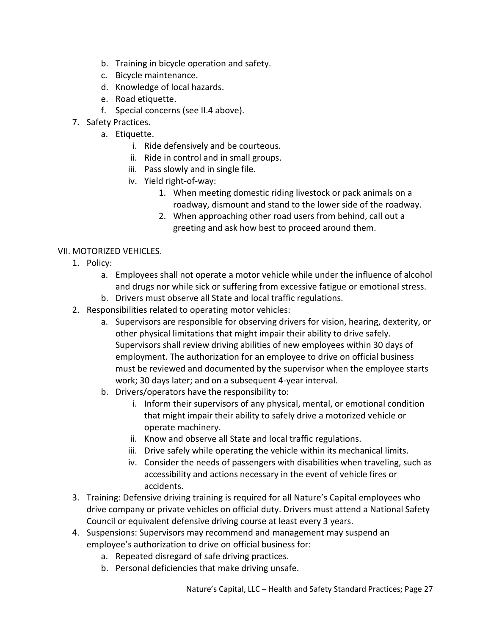- b. Training in bicycle operation and safety.
- c. Bicycle maintenance.
- d. Knowledge of local hazards.
- e. Road etiquette.
- f. Special concerns (see II.4 above).
- 7. Safety Practices.
	- a. Etiquette.
		- i. Ride defensively and be courteous.
		- ii. Ride in control and in small groups.
		- iii. Pass slowly and in single file.
		- iv. Yield right-of-way:
			- 1. When meeting domestic riding livestock or pack animals on a roadway, dismount and stand to the lower side of the roadway.
			- 2. When approaching other road users from behind, call out a greeting and ask how best to proceed around them.

#### <span id="page-27-1"></span><span id="page-27-0"></span>VII. MOTORIZED VEHICLES.

- 1. Policy:
	- a. Employees shall not operate a motor vehicle while under the influence of alcohol and drugs nor while sick or suffering from excessive fatigue or emotional stress.
	- b. Drivers must observe all State and local traffic regulations.
- 2. Responsibilities related to operating motor vehicles:
	- a. Supervisors are responsible for observing drivers for vision, hearing, dexterity, or other physical limitations that might impair their ability to drive safely. Supervisors shall review driving abilities of new employees within 30 days of employment. The authorization for an employee to drive on official business must be reviewed and documented by the supervisor when the employee starts work; 30 days later; and on a subsequent 4-year interval.
	- b. Drivers/operators have the responsibility to:
		- i. Inform their supervisors of any physical, mental, or emotional condition that might impair their ability to safely drive a motorized vehicle or operate machinery.
		- ii. Know and observe all State and local traffic regulations.
		- iii. Drive safely while operating the vehicle within its mechanical limits.
		- iv. Consider the needs of passengers with disabilities when traveling, such as accessibility and actions necessary in the event of vehicle fires or accidents.
- 3. Training: Defensive driving training is required for all Nature's Capital employees who drive company or private vehicles on official duty. Drivers must attend a National Safety Council or equivalent defensive driving course at least every 3 years.
- 4. Suspensions: Supervisors may recommend and management may suspend an employee's authorization to drive on official business for:
	- a. Repeated disregard of safe driving practices.
	- b. Personal deficiencies that make driving unsafe.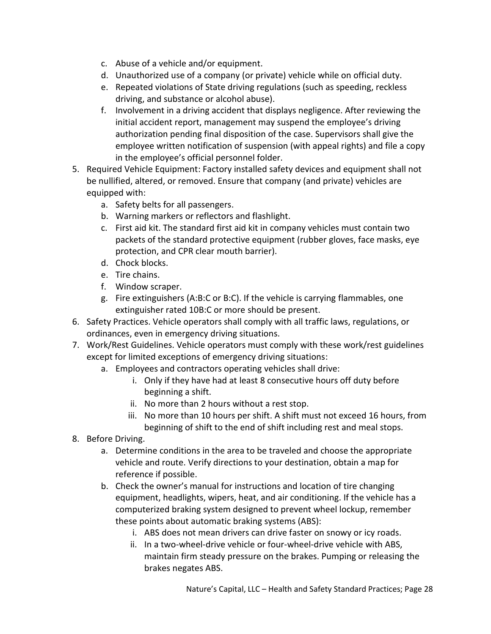- c. Abuse of a vehicle and/or equipment.
- d. Unauthorized use of a company (or private) vehicle while on official duty.
- e. Repeated violations of State driving regulations (such as speeding, reckless driving, and substance or alcohol abuse).
- f. Involvement in a driving accident that displays negligence. After reviewing the initial accident report, management may suspend the employee's driving authorization pending final disposition of the case. Supervisors shall give the employee written notification of suspension (with appeal rights) and file a copy in the employee's official personnel folder.
- 5. Required Vehicle Equipment: Factory installed safety devices and equipment shall not be nullified, altered, or removed. Ensure that company (and private) vehicles are equipped with:
	- a. Safety belts for all passengers.
	- b. Warning markers or reflectors and flashlight.
	- c. First aid kit. The standard first aid kit in company vehicles must contain two packets of the standard protective equipment (rubber gloves, face masks, eye protection, and CPR clear mouth barrier).
	- d. Chock blocks.
	- e. Tire chains.
	- f. Window scraper.
	- g. Fire extinguishers (A:B:C or B:C). If the vehicle is carrying flammables, one extinguisher rated 10B:C or more should be present.
- 6. Safety Practices. Vehicle operators shall comply with all traffic laws, regulations, or ordinances, even in emergency driving situations.
- 7. Work/Rest Guidelines. Vehicle operators must comply with these work/rest guidelines except for limited exceptions of emergency driving situations:
	- a. Employees and contractors operating vehicles shall drive:
		- i. Only if they have had at least 8 consecutive hours off duty before beginning a shift.
		- ii. No more than 2 hours without a rest stop.
		- iii. No more than 10 hours per shift. A shift must not exceed 16 hours, from beginning of shift to the end of shift including rest and meal stops.
- 8. Before Driving.
	- a. Determine conditions in the area to be traveled and choose the appropriate vehicle and route. Verify directions to your destination, obtain a map for reference if possible.
	- b. Check the owner's manual for instructions and location of tire changing equipment, headlights, wipers, heat, and air conditioning. If the vehicle has a computerized braking system designed to prevent wheel lockup, remember these points about automatic braking systems (ABS):
		- i. ABS does not mean drivers can drive faster on snowy or icy roads.
		- ii. In a two-wheel-drive vehicle or four-wheel-drive vehicle with ABS, maintain firm steady pressure on the brakes. Pumping or releasing the brakes negates ABS.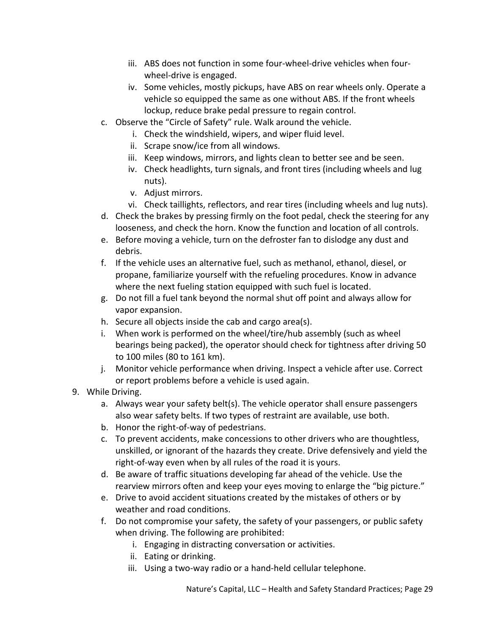- iii. ABS does not function in some four-wheel-drive vehicles when fourwheel-drive is engaged.
- iv. Some vehicles, mostly pickups, have ABS on rear wheels only. Operate a vehicle so equipped the same as one without ABS. If the front wheels lockup, reduce brake pedal pressure to regain control.
- c. Observe the "Circle of Safety" rule. Walk around the vehicle.
	- i. Check the windshield, wipers, and wiper fluid level.
	- ii. Scrape snow/ice from all windows.
	- iii. Keep windows, mirrors, and lights clean to better see and be seen.
	- iv. Check headlights, turn signals, and front tires (including wheels and lug nuts).
	- v. Adjust mirrors.
	- vi. Check taillights, reflectors, and rear tires (including wheels and lug nuts).
- d. Check the brakes by pressing firmly on the foot pedal, check the steering for any looseness, and check the horn. Know the function and location of all controls.
- e. Before moving a vehicle, turn on the defroster fan to dislodge any dust and debris.
- f. If the vehicle uses an alternative fuel, such as methanol, ethanol, diesel, or propane, familiarize yourself with the refueling procedures. Know in advance where the next fueling station equipped with such fuel is located.
- g. Do not fill a fuel tank beyond the normal shut off point and always allow for vapor expansion.
- h. Secure all objects inside the cab and cargo area(s).
- i. When work is performed on the wheel/tire/hub assembly (such as wheel bearings being packed), the operator should check for tightness after driving 50 to 100 miles (80 to 161 km).
- j. Monitor vehicle performance when driving. Inspect a vehicle after use. Correct or report problems before a vehicle is used again.
- 9. While Driving.
	- a. Always wear your safety belt(s). The vehicle operator shall ensure passengers also wear safety belts. If two types of restraint are available, use both.
	- b. Honor the right-of-way of pedestrians.
	- c. To prevent accidents, make concessions to other drivers who are thoughtless, unskilled, or ignorant of the hazards they create. Drive defensively and yield the right-of-way even when by all rules of the road it is yours.
	- d. Be aware of traffic situations developing far ahead of the vehicle. Use the rearview mirrors often and keep your eyes moving to enlarge the "big picture."
	- e. Drive to avoid accident situations created by the mistakes of others or by weather and road conditions.
	- f. Do not compromise your safety, the safety of your passengers, or public safety when driving. The following are prohibited:
		- i. Engaging in distracting conversation or activities.
		- ii. Eating or drinking.
		- iii. Using a two-way radio or a hand-held cellular telephone.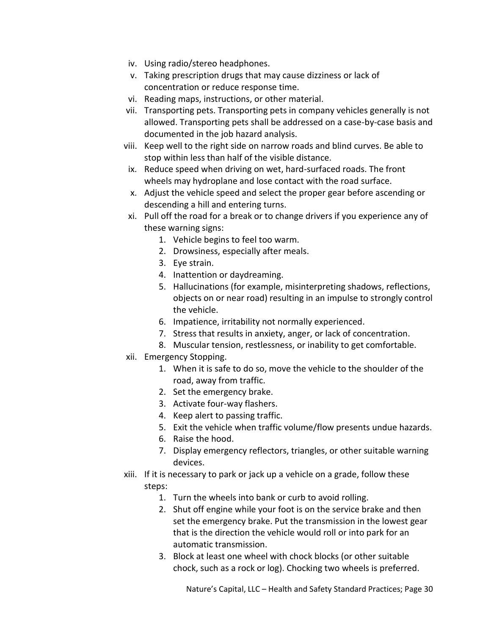- iv. Using radio/stereo headphones.
- v. Taking prescription drugs that may cause dizziness or lack of concentration or reduce response time.
- vi. Reading maps, instructions, or other material.
- vii. Transporting pets. Transporting pets in company vehicles generally is not allowed. Transporting pets shall be addressed on a case-by-case basis and documented in the job hazard analysis.
- viii. Keep well to the right side on narrow roads and blind curves. Be able to stop within less than half of the visible distance.
- ix. Reduce speed when driving on wet, hard-surfaced roads. The front wheels may hydroplane and lose contact with the road surface.
- x. Adjust the vehicle speed and select the proper gear before ascending or descending a hill and entering turns.
- xi. Pull off the road for a break or to change drivers if you experience any of these warning signs:
	- 1. Vehicle begins to feel too warm.
	- 2. Drowsiness, especially after meals.
	- 3. Eye strain.
	- 4. Inattention or daydreaming.
	- 5. Hallucinations (for example, misinterpreting shadows, reflections, objects on or near road) resulting in an impulse to strongly control the vehicle.
	- 6. Impatience, irritability not normally experienced.
	- 7. Stress that results in anxiety, anger, or lack of concentration.
	- 8. Muscular tension, restlessness, or inability to get comfortable.
- xii. Emergency Stopping.
	- 1. When it is safe to do so, move the vehicle to the shoulder of the road, away from traffic.
	- 2. Set the emergency brake.
	- 3. Activate four-way flashers.
	- 4. Keep alert to passing traffic.
	- 5. Exit the vehicle when traffic volume/flow presents undue hazards.
	- 6. Raise the hood.
	- 7. Display emergency reflectors, triangles, or other suitable warning devices.
- xiii. If it is necessary to park or jack up a vehicle on a grade, follow these steps:
	- 1. Turn the wheels into bank or curb to avoid rolling.
	- 2. Shut off engine while your foot is on the service brake and then set the emergency brake. Put the transmission in the lowest gear that is the direction the vehicle would roll or into park for an automatic transmission.
	- 3. Block at least one wheel with chock blocks (or other suitable chock, such as a rock or log). Chocking two wheels is preferred.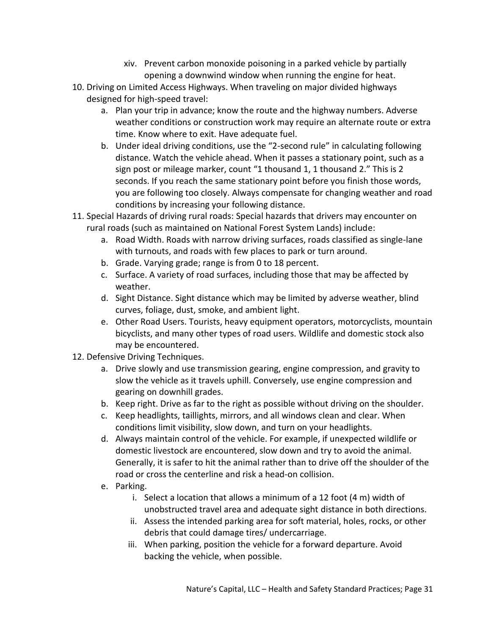- xiv. Prevent carbon monoxide poisoning in a parked vehicle by partially opening a downwind window when running the engine for heat.
- 10. Driving on Limited Access Highways. When traveling on major divided highways designed for high-speed travel:
	- a. Plan your trip in advance; know the route and the highway numbers. Adverse weather conditions or construction work may require an alternate route or extra time. Know where to exit. Have adequate fuel.
	- b. Under ideal driving conditions, use the "2-second rule" in calculating following distance. Watch the vehicle ahead. When it passes a stationary point, such as a sign post or mileage marker, count "1 thousand 1, 1 thousand 2." This is 2 seconds. If you reach the same stationary point before you finish those words, you are following too closely. Always compensate for changing weather and road conditions by increasing your following distance.
- 11. Special Hazards of driving rural roads: Special hazards that drivers may encounter on rural roads (such as maintained on National Forest System Lands) include:
	- a. Road Width. Roads with narrow driving surfaces, roads classified as single-lane with turnouts, and roads with few places to park or turn around.
	- b. Grade. Varying grade; range is from 0 to 18 percent.
	- c. Surface. A variety of road surfaces, including those that may be affected by weather.
	- d. Sight Distance. Sight distance which may be limited by adverse weather, blind curves, foliage, dust, smoke, and ambient light.
	- e. Other Road Users. Tourists, heavy equipment operators, motorcyclists, mountain bicyclists, and many other types of road users. Wildlife and domestic stock also may be encountered.
- 12. Defensive Driving Techniques.
	- a. Drive slowly and use transmission gearing, engine compression, and gravity to slow the vehicle as it travels uphill. Conversely, use engine compression and gearing on downhill grades.
	- b. Keep right. Drive as far to the right as possible without driving on the shoulder.
	- c. Keep headlights, taillights, mirrors, and all windows clean and clear. When conditions limit visibility, slow down, and turn on your headlights.
	- d. Always maintain control of the vehicle. For example, if unexpected wildlife or domestic livestock are encountered, slow down and try to avoid the animal. Generally, it is safer to hit the animal rather than to drive off the shoulder of the road or cross the centerline and risk a head-on collision.
	- e. Parking.
		- i. Select a location that allows a minimum of a 12 foot (4 m) width of unobstructed travel area and adequate sight distance in both directions.
		- ii. Assess the intended parking area for soft material, holes, rocks, or other debris that could damage tires/ undercarriage.
		- iii. When parking, position the vehicle for a forward departure. Avoid backing the vehicle, when possible.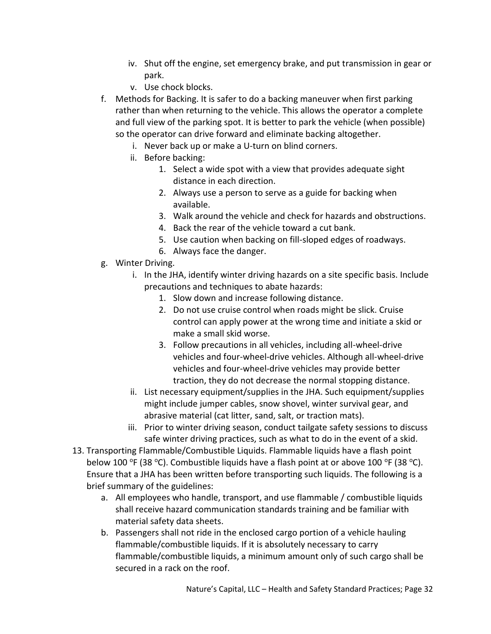- iv. Shut off the engine, set emergency brake, and put transmission in gear or park.
- v. Use chock blocks.
- f. Methods for Backing. It is safer to do a backing maneuver when first parking rather than when returning to the vehicle. This allows the operator a complete and full view of the parking spot. It is better to park the vehicle (when possible) so the operator can drive forward and eliminate backing altogether.
	- i. Never back up or make a U-turn on blind corners.
	- ii. Before backing:
		- 1. Select a wide spot with a view that provides adequate sight distance in each direction.
		- 2. Always use a person to serve as a guide for backing when available.
		- 3. Walk around the vehicle and check for hazards and obstructions.
		- 4. Back the rear of the vehicle toward a cut bank.
		- 5. Use caution when backing on fill-sloped edges of roadways.
		- 6. Always face the danger.
- g. Winter Driving.
	- i. In the JHA, identify winter driving hazards on a site specific basis. Include precautions and techniques to abate hazards:
		- 1. Slow down and increase following distance.
		- 2. Do not use cruise control when roads might be slick. Cruise control can apply power at the wrong time and initiate a skid or make a small skid worse.
		- 3. Follow precautions in all vehicles, including all-wheel-drive vehicles and four-wheel-drive vehicles. Although all-wheel-drive vehicles and four-wheel-drive vehicles may provide better traction, they do not decrease the normal stopping distance.
	- ii. List necessary equipment/supplies in the JHA. Such equipment/supplies might include jumper cables, snow shovel, winter survival gear, and abrasive material (cat litter, sand, salt, or traction mats).
	- iii. Prior to winter driving season, conduct tailgate safety sessions to discuss safe winter driving practices, such as what to do in the event of a skid.
- 13. Transporting Flammable/Combustible Liquids. Flammable liquids have a flash point below 100 °F (38 °C). Combustible liquids have a flash point at or above 100 °F (38 °C). Ensure that a JHA has been written before transporting such liquids. The following is a brief summary of the guidelines:
	- a. All employees who handle, transport, and use flammable / combustible liquids shall receive hazard communication standards training and be familiar with material safety data sheets.
	- b. Passengers shall not ride in the enclosed cargo portion of a vehicle hauling flammable/combustible liquids. If it is absolutely necessary to carry flammable/combustible liquids, a minimum amount only of such cargo shall be secured in a rack on the roof.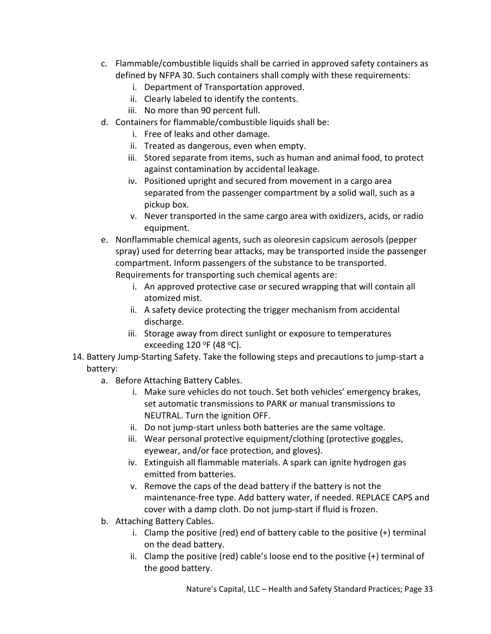- c. Flammable/combustible liquids shall be carried in approved safety containers as defined by NFPA 30. Such containers shall comply with these requirements:
	- i. Department of Transportation approved.
	- ii. Clearly labeled to identify the contents.
	- iii. No more than 90 percent full.
- d. Containers for flammable/combustible liquids shall be:
	- i. Free of leaks and other damage.
	- ii. Treated as dangerous, even when empty.
	- iii. Stored separate from items, such as human and animal food, to protect against contamination by accidental leakage.
	- iv. Positioned upright and secured from movement in a cargo area separated from the passenger compartment by a solid wall, such as a pickup box.
	- v. Never transported in the same cargo area with oxidizers, acids, or radio equipment.
- e. Nonflammable chemical agents, such as oleoresin capsicum aerosols (pepper spray) used for deterring bear attacks, may be transported inside the passenger compartment. Inform passengers of the substance to be transported. Requirements for transporting such chemical agents are:
	- i. An approved protective case or secured wrapping that will contain all atomized mist.
	- ii. A safety device protecting the trigger mechanism from accidental discharge.
	- iii. Storage away from direct sunlight or exposure to temperatures exceeding  $120$  °F (48 °C).
- 14. Battery Jump-Starting Safety. Take the following steps and precautions to jump-start a battery:
	- a. Before Attaching Battery Cables.
		- i. Make sure vehicles do not touch. Set both vehicles' emergency brakes, set automatic transmissions to PARK or manual transmissions to NEUTRAL. Turn the ignition OFF.
		- ii. Do not jump-start unless both batteries are the same voltage.
		- iii. Wear personal protective equipment/clothing (protective goggles, eyewear, and/or face protection, and gloves).
		- iv. Extinguish all flammable materials. A spark can ignite hydrogen gas emitted from batteries.
		- v. Remove the caps of the dead battery if the battery is not the maintenance-free type. Add battery water, if needed. REPLACE CAPS and cover with a damp cloth. Do not jump-start if fluid is frozen.
	- b. Attaching Battery Cables.
		- i. Clamp the positive (red) end of battery cable to the positive (+) terminal on the dead battery.
		- ii. Clamp the positive (red) cable's loose end to the positive  $(+)$  terminal of the good battery.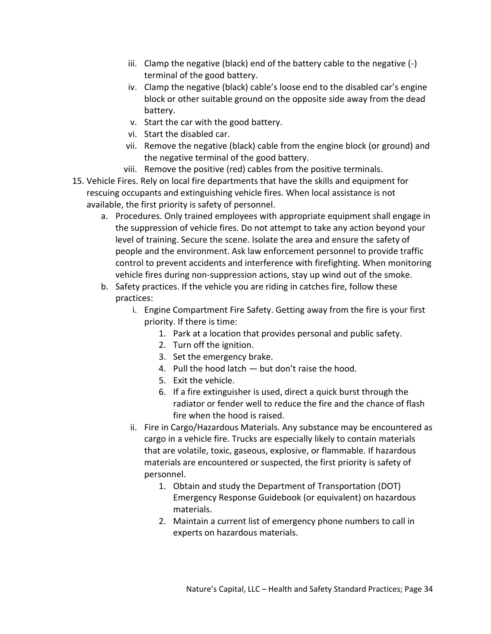- iii. Clamp the negative (black) end of the battery cable to the negative (-) terminal of the good battery.
- iv. Clamp the negative (black) cable's loose end to the disabled car's engine block or other suitable ground on the opposite side away from the dead battery.
- v. Start the car with the good battery.
- vi. Start the disabled car.
- vii. Remove the negative (black) cable from the engine block (or ground) and the negative terminal of the good battery.
- viii. Remove the positive (red) cables from the positive terminals.
- <span id="page-34-0"></span>15. Vehicle Fires. Rely on local fire departments that have the skills and equipment for rescuing occupants and extinguishing vehicle fires. When local assistance is not available, the first priority is safety of personnel.
	- a. Procedures. Only trained employees with appropriate equipment shall engage in the suppression of vehicle fires. Do not attempt to take any action beyond your level of training. Secure the scene. Isolate the area and ensure the safety of people and the environment. Ask law enforcement personnel to provide traffic control to prevent accidents and interference with firefighting. When monitoring vehicle fires during non-suppression actions, stay up wind out of the smoke.
	- b. Safety practices. If the vehicle you are riding in catches fire, follow these practices:
		- i. Engine Compartment Fire Safety. Getting away from the fire is your first priority. If there is time:
			- 1. Park at a location that provides personal and public safety.
			- 2. Turn off the ignition.
			- 3. Set the emergency brake.
			- 4. Pull the hood latch but don't raise the hood.
			- 5. Exit the vehicle.
			- 6. If a fire extinguisher is used, direct a quick burst through the radiator or fender well to reduce the fire and the chance of flash fire when the hood is raised.
		- ii. Fire in Cargo/Hazardous Materials. Any substance may be encountered as cargo in a vehicle fire. Trucks are especially likely to contain materials that are volatile, toxic, gaseous, explosive, or flammable. If hazardous materials are encountered or suspected, the first priority is safety of personnel.
			- 1. Obtain and study the Department of Transportation (DOT) Emergency Response Guidebook (or equivalent) on hazardous materials.
			- 2. Maintain a current list of emergency phone numbers to call in experts on hazardous materials.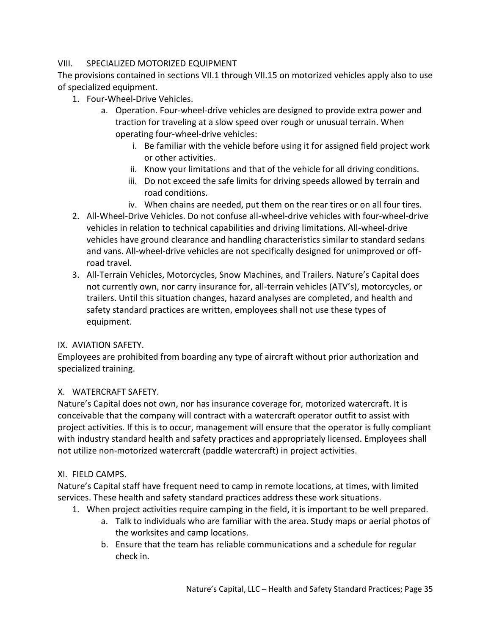### <span id="page-35-0"></span>VIII. SPECIALIZED MOTORIZED EQUIPMENT

The provisions contained in sections [VII](#page-27-0)[.1](#page-27-1) throug[h VII](#page-27-0)[.15](#page-34-0) on motorized vehicles apply also to use of specialized equipment.

- 1. Four-Wheel-Drive Vehicles.
	- a. Operation. Four-wheel-drive vehicles are designed to provide extra power and traction for traveling at a slow speed over rough or unusual terrain. When operating four-wheel-drive vehicles:
		- i. Be familiar with the vehicle before using it for assigned field project work or other activities.
		- ii. Know your limitations and that of the vehicle for all driving conditions.
		- iii. Do not exceed the safe limits for driving speeds allowed by terrain and road conditions.
		- iv. When chains are needed, put them on the rear tires or on all four tires.
- 2. All-Wheel-Drive Vehicles. Do not confuse all-wheel-drive vehicles with four-wheel-drive vehicles in relation to technical capabilities and driving limitations. All-wheel-drive vehicles have ground clearance and handling characteristics similar to standard sedans and vans. All-wheel-drive vehicles are not specifically designed for unimproved or offroad travel.
- 3. All-Terrain Vehicles, Motorcycles, Snow Machines, and Trailers. Nature's Capital does not currently own, nor carry insurance for, all-terrain vehicles (ATV's), motorcycles, or trailers. Until this situation changes, hazard analyses are completed, and health and safety standard practices are written, employees shall not use these types of equipment.

#### <span id="page-35-1"></span>IX. AVIATION SAFETY.

Employees are prohibited from boarding any type of aircraft without prior authorization and specialized training.

#### <span id="page-35-2"></span>X. WATERCRAFT SAFETY.

Nature's Capital does not own, nor has insurance coverage for, motorized watercraft. It is conceivable that the company will contract with a watercraft operator outfit to assist with project activities. If this is to occur, management will ensure that the operator is fully compliant with industry standard health and safety practices and appropriately licensed. Employees shall not utilize non-motorized watercraft (paddle watercraft) in project activities.

#### <span id="page-35-3"></span>XI. FIELD CAMPS.

Nature's Capital staff have frequent need to camp in remote locations, at times, with limited services. These health and safety standard practices address these work situations.

- 1. When project activities require camping in the field, it is important to be well prepared.
	- a. Talk to individuals who are familiar with the area. Study maps or aerial photos of the worksites and camp locations.
	- b. Ensure that the team has reliable communications and a schedule for regular check in.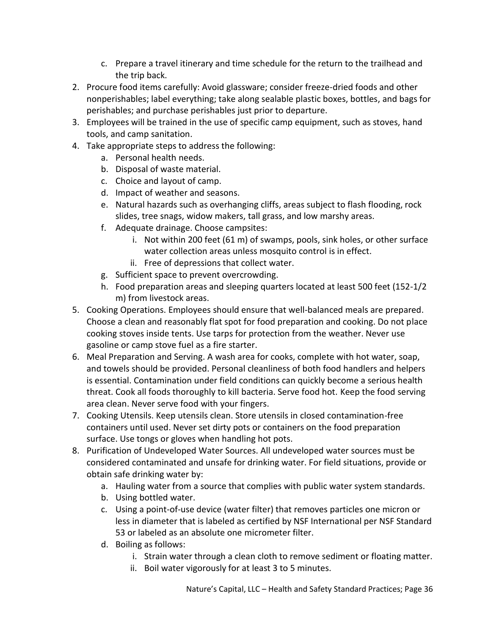- c. Prepare a travel itinerary and time schedule for the return to the trailhead and the trip back.
- 2. Procure food items carefully: Avoid glassware; consider freeze-dried foods and other nonperishables; label everything; take along sealable plastic boxes, bottles, and bags for perishables; and purchase perishables just prior to departure.
- 3. Employees will be trained in the use of specific camp equipment, such as stoves, hand tools, and camp sanitation.
- 4. Take appropriate steps to address the following:
	- a. Personal health needs.
	- b. Disposal of waste material.
	- c. Choice and layout of camp.
	- d. Impact of weather and seasons.
	- e. Natural hazards such as overhanging cliffs, areas subject to flash flooding, rock slides, tree snags, widow makers, tall grass, and low marshy areas.
	- f. Adequate drainage. Choose campsites:
		- i. Not within 200 feet (61 m) of swamps, pools, sink holes, or other surface water collection areas unless mosquito control is in effect.
		- ii. Free of depressions that collect water.
	- g. Sufficient space to prevent overcrowding.
	- h. Food preparation areas and sleeping quarters located at least 500 feet (152-1/2 m) from livestock areas.
- 5. Cooking Operations. Employees should ensure that well-balanced meals are prepared. Choose a clean and reasonably flat spot for food preparation and cooking. Do not place cooking stoves inside tents. Use tarps for protection from the weather. Never use gasoline or camp stove fuel as a fire starter.
- 6. Meal Preparation and Serving. A wash area for cooks, complete with hot water, soap, and towels should be provided. Personal cleanliness of both food handlers and helpers is essential. Contamination under field conditions can quickly become a serious health threat. Cook all foods thoroughly to kill bacteria. Serve food hot. Keep the food serving area clean. Never serve food with your fingers.
- 7. Cooking Utensils. Keep utensils clean. Store utensils in closed contamination-free containers until used. Never set dirty pots or containers on the food preparation surface. Use tongs or gloves when handling hot pots.
- 8. Purification of Undeveloped Water Sources. All undeveloped water sources must be considered contaminated and unsafe for drinking water. For field situations, provide or obtain safe drinking water by:
	- a. Hauling water from a source that complies with public water system standards.
	- b. Using bottled water.
	- c. Using a point-of-use device (water filter) that removes particles one micron or less in diameter that is labeled as certified by NSF International per NSF Standard 53 or labeled as an absolute one micrometer filter.
	- d. Boiling as follows:
		- i. Strain water through a clean cloth to remove sediment or floating matter.
		- ii. Boil water vigorously for at least 3 to 5 minutes.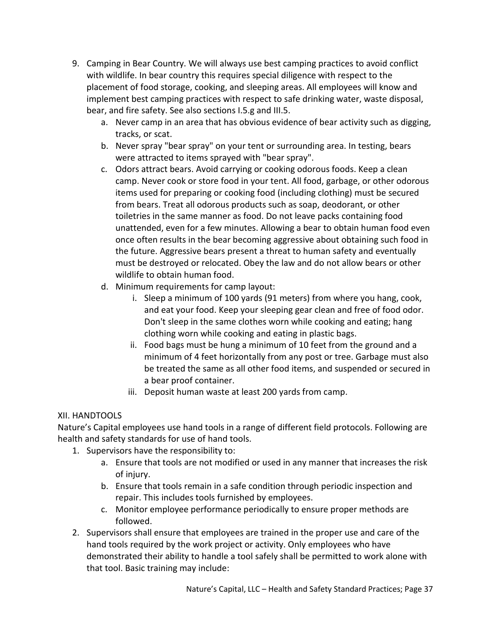- 9. Camping in Bear Country. We will always use best camping practices to avoid conflict with wildlife. In bear country this requires special diligence with respect to the placement of food storage, cooking, and sleeping areas. All employees will know and implement best camping practices with respect to safe drinking water, waste disposal, bear, and fire safety. See also sections [I](#page-1-0)[.5.g](#page-10-0) and [III](#page-21-0)[.5.](#page-23-0)
	- a. Never camp in an area that has obvious evidence of bear activity such as digging, tracks, or scat.
	- b. Never spray "bear spray" on your tent or surrounding area. In testing, bears were attracted to items sprayed with "bear spray".
	- c. Odors attract bears. Avoid carrying or cooking odorous foods. Keep a clean camp. Never cook or store food in your tent. All food, garbage, or other odorous items used for preparing or cooking food (including clothing) must be secured from bears. Treat all odorous products such as soap, deodorant, or other toiletries in the same manner as food. Do not leave packs containing food unattended, even for a few minutes. Allowing a bear to obtain human food even once often results in the bear becoming aggressive about obtaining such food in the future. Aggressive bears present a threat to human safety and eventually must be destroyed or relocated. Obey the law and do not allow bears or other wildlife to obtain human food.
	- d. Minimum requirements for camp layout:
		- i. Sleep a minimum of 100 yards (91 meters) from where you hang, cook, and eat your food. Keep your sleeping gear clean and free of food odor. Don't sleep in the same clothes worn while cooking and eating; hang clothing worn while cooking and eating in plastic bags.
		- ii. Food bags must be hung a minimum of 10 feet from the ground and a minimum of 4 feet horizontally from any post or tree. Garbage must also be treated the same as all other food items, and suspended or secured in a bear proof container.
		- iii. Deposit human waste at least 200 yards from camp.

#### <span id="page-37-0"></span>XII. HANDTOOLS

Nature's Capital employees use hand tools in a range of different field protocols. Following are health and safety standards for use of hand tools.

- 1. Supervisors have the responsibility to:
	- a. Ensure that tools are not modified or used in any manner that increases the risk of injury.
	- b. Ensure that tools remain in a safe condition through periodic inspection and repair. This includes tools furnished by employees.
	- c. Monitor employee performance periodically to ensure proper methods are followed.
- 2. Supervisors shall ensure that employees are trained in the proper use and care of the hand tools required by the work project or activity. Only employees who have demonstrated their ability to handle a tool safely shall be permitted to work alone with that tool. Basic training may include: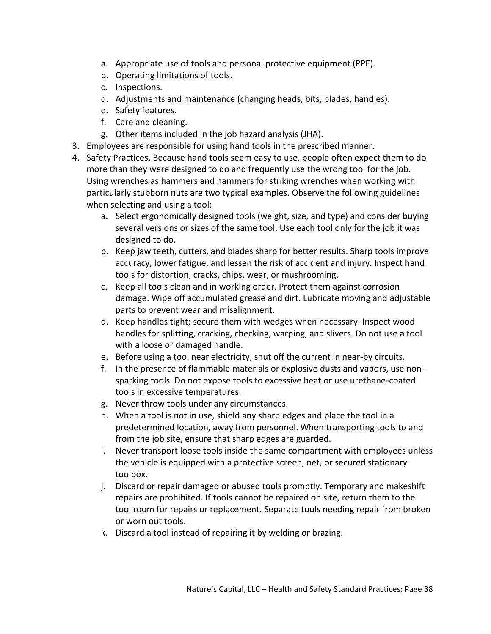- a. Appropriate use of tools and personal protective equipment (PPE).
- b. Operating limitations of tools.
- c. Inspections.
- d. Adjustments and maintenance (changing heads, bits, blades, handles).
- e. Safety features.
- f. Care and cleaning.
- g. Other items included in the job hazard analysis (JHA).
- 3. Employees are responsible for using hand tools in the prescribed manner.
- 4. Safety Practices. Because hand tools seem easy to use, people often expect them to do more than they were designed to do and frequently use the wrong tool for the job. Using wrenches as hammers and hammers for striking wrenches when working with particularly stubborn nuts are two typical examples. Observe the following guidelines when selecting and using a tool:
	- a. Select ergonomically designed tools (weight, size, and type) and consider buying several versions or sizes of the same tool. Use each tool only for the job it was designed to do.
	- b. Keep jaw teeth, cutters, and blades sharp for better results. Sharp tools improve accuracy, lower fatigue, and lessen the risk of accident and injury. Inspect hand tools for distortion, cracks, chips, wear, or mushrooming.
	- c. Keep all tools clean and in working order. Protect them against corrosion damage. Wipe off accumulated grease and dirt. Lubricate moving and adjustable parts to prevent wear and misalignment.
	- d. Keep handles tight; secure them with wedges when necessary. Inspect wood handles for splitting, cracking, checking, warping, and slivers. Do not use a tool with a loose or damaged handle.
	- e. Before using a tool near electricity, shut off the current in near-by circuits.
	- f. In the presence of flammable materials or explosive dusts and vapors, use nonsparking tools. Do not expose tools to excessive heat or use urethane-coated tools in excessive temperatures.
	- g. Never throw tools under any circumstances.
	- h. When a tool is not in use, shield any sharp edges and place the tool in a predetermined location, away from personnel. When transporting tools to and from the job site, ensure that sharp edges are guarded.
	- i. Never transport loose tools inside the same compartment with employees unless the vehicle is equipped with a protective screen, net, or secured stationary toolbox.
	- j. Discard or repair damaged or abused tools promptly. Temporary and makeshift repairs are prohibited. If tools cannot be repaired on site, return them to the tool room for repairs or replacement. Separate tools needing repair from broken or worn out tools.
	- k. Discard a tool instead of repairing it by welding or brazing.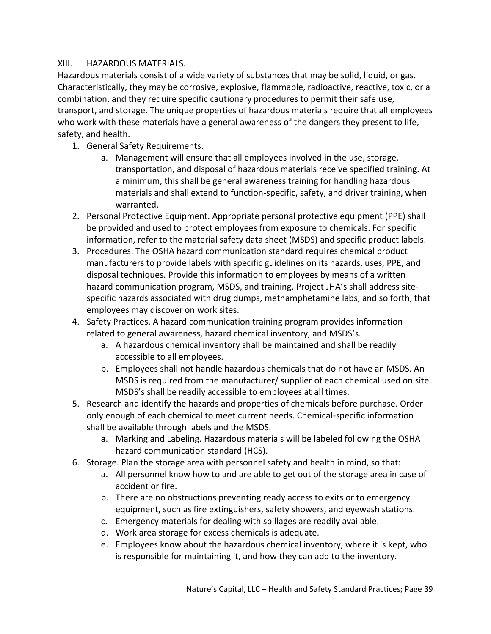#### <span id="page-39-0"></span>XIII. HAZARDOUS MATERIALS.

Hazardous materials consist of a wide variety of substances that may be solid, liquid, or gas. Characteristically, they may be corrosive, explosive, flammable, radioactive, reactive, toxic, or a combination, and they require specific cautionary procedures to permit their safe use, transport, and storage. The unique properties of hazardous materials require that all employees who work with these materials have a general awareness of the dangers they present to life, safety, and health.

- 1. General Safety Requirements.
	- a. Management will ensure that all employees involved in the use, storage, transportation, and disposal of hazardous materials receive specified training. At a minimum, this shall be general awareness training for handling hazardous materials and shall extend to function-specific, safety, and driver training, when warranted.
- 2. Personal Protective Equipment. Appropriate personal protective equipment (PPE) shall be provided and used to protect employees from exposure to chemicals. For specific information, refer to the material safety data sheet (MSDS) and specific product labels.
- 3. Procedures. The OSHA hazard communication standard requires chemical product manufacturers to provide labels with specific guidelines on its hazards, uses, PPE, and disposal techniques. Provide this information to employees by means of a written hazard communication program, MSDS, and training. Project JHA's shall address sitespecific hazards associated with drug dumps, methamphetamine labs, and so forth, that employees may discover on work sites.
- 4. Safety Practices. A hazard communication training program provides information related to general awareness, hazard chemical inventory, and MSDS's.
	- a. A hazardous chemical inventory shall be maintained and shall be readily accessible to all employees.
	- b. Employees shall not handle hazardous chemicals that do not have an MSDS. An MSDS is required from the manufacturer/ supplier of each chemical used on site. MSDS's shall be readily accessible to employees at all times.
- 5. Research and identify the hazards and properties of chemicals before purchase. Order only enough of each chemical to meet current needs. Chemical-specific information shall be available through labels and the MSDS.
	- a. Marking and Labeling. Hazardous materials will be labeled following the OSHA hazard communication standard (HCS).
- 6. Storage. Plan the storage area with personnel safety and health in mind, so that:
	- a. All personnel know how to and are able to get out of the storage area in case of accident or fire.
	- b. There are no obstructions preventing ready access to exits or to emergency equipment, such as fire extinguishers, safety showers, and eyewash stations.
	- c. Emergency materials for dealing with spillages are readily available.
	- d. Work area storage for excess chemicals is adequate.
	- e. Employees know about the hazardous chemical inventory, where it is kept, who is responsible for maintaining it, and how they can add to the inventory.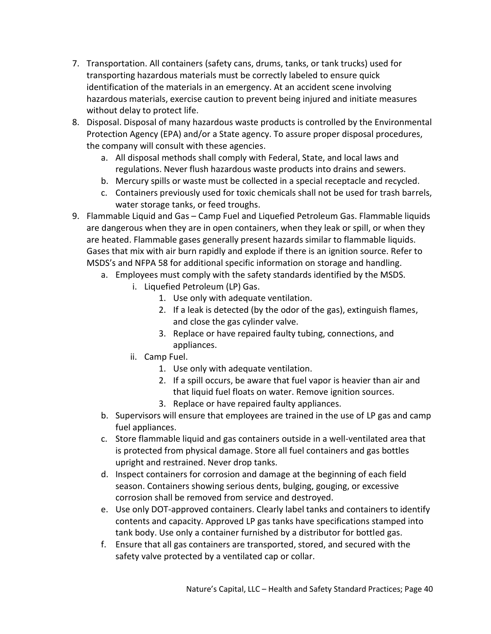- 7. Transportation. All containers (safety cans, drums, tanks, or tank trucks) used for transporting hazardous materials must be correctly labeled to ensure quick identification of the materials in an emergency. At an accident scene involving hazardous materials, exercise caution to prevent being injured and initiate measures without delay to protect life.
- 8. Disposal. Disposal of many hazardous waste products is controlled by the Environmental Protection Agency (EPA) and/or a State agency. To assure proper disposal procedures, the company will consult with these agencies.
	- a. All disposal methods shall comply with Federal, State, and local laws and regulations. Never flush hazardous waste products into drains and sewers.
	- b. Mercury spills or waste must be collected in a special receptacle and recycled.
	- c. Containers previously used for toxic chemicals shall not be used for trash barrels, water storage tanks, or feed troughs.
- 9. Flammable Liquid and Gas Camp Fuel and Liquefied Petroleum Gas. Flammable liquids are dangerous when they are in open containers, when they leak or spill, or when they are heated. Flammable gases generally present hazards similar to flammable liquids. Gases that mix with air burn rapidly and explode if there is an ignition source. Refer to MSDS's and NFPA 58 for additional specific information on storage and handling.
	- a. Employees must comply with the safety standards identified by the MSDS.
		- i. Liquefied Petroleum (LP) Gas.
			- 1. Use only with adequate ventilation.
			- 2. If a leak is detected (by the odor of the gas), extinguish flames, and close the gas cylinder valve.
			- 3. Replace or have repaired faulty tubing, connections, and appliances.
		- ii. Camp Fuel.
			- 1. Use only with adequate ventilation.
			- 2. If a spill occurs, be aware that fuel vapor is heavier than air and that liquid fuel floats on water. Remove ignition sources.
			- 3. Replace or have repaired faulty appliances.
	- b. Supervisors will ensure that employees are trained in the use of LP gas and camp fuel appliances.
	- c. Store flammable liquid and gas containers outside in a well-ventilated area that is protected from physical damage. Store all fuel containers and gas bottles upright and restrained. Never drop tanks.
	- d. Inspect containers for corrosion and damage at the beginning of each field season. Containers showing serious dents, bulging, gouging, or excessive corrosion shall be removed from service and destroyed.
	- e. Use only DOT-approved containers. Clearly label tanks and containers to identify contents and capacity. Approved LP gas tanks have specifications stamped into tank body. Use only a container furnished by a distributor for bottled gas.
	- f. Ensure that all gas containers are transported, stored, and secured with the safety valve protected by a ventilated cap or collar.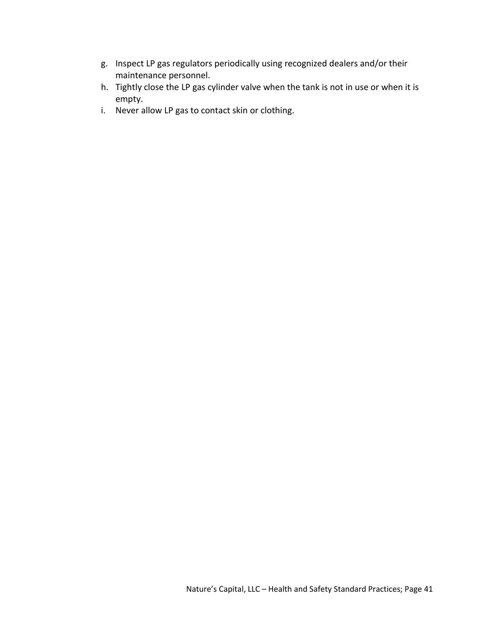- g. Inspect LP gas regulators periodically using recognized dealers and/or their maintenance personnel.
- h. Tightly close the LP gas cylinder valve when the tank is not in use or when it is empty.
- i. Never allow LP gas to contact skin or clothing.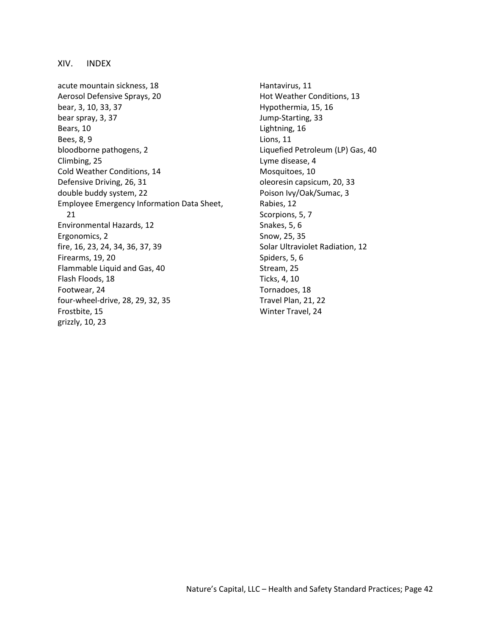#### <span id="page-42-0"></span>XIV. INDEX

acute mountain sickness, 18 Aerosol Defensive Sprays, 20 bear, 3, 10, 33, 37 bear spray, 3, 37 Bears, 10 Bees, 8, 9 bloodborne pathogens, 2 Climbing, 25 Cold Weather Conditions, 14 Defensive Driving, 26, 31 double buddy system, 22 Employee Emergency Information Data Sheet, 21 Environmental Hazards, 12 Ergonomics, 2 fire, 16, 23, 24, 34, 36, 37, 39 Firearms, 19, 20 Flammable Liquid and Gas, 40 Flash Floods, 18 Footwear, 24 four-wheel-drive, 28, 29, 32, 35 Frostbite, 15 grizzly, 10, 23

Hantavirus, 11 Hot Weather Conditions, 13 Hypothermia, 15, 16 Jump-Starting, 33 Lightning, 16 Lions, 11 Liquefied Petroleum (LP) Gas, 40 Lyme disease, 4 Mosquitoes, 10 oleoresin capsicum, 20, 33 Poison Ivy/Oak/Sumac, 3 Rabies, 12 Scorpions, 5, 7 Snakes, 5, 6 Snow, 25, 35 Solar Ultraviolet Radiation, 12 Spiders, 5, 6 Stream, 25 Ticks, 4, 10 Tornadoes, 18 Travel Plan, 21, 22 Winter Travel, 24